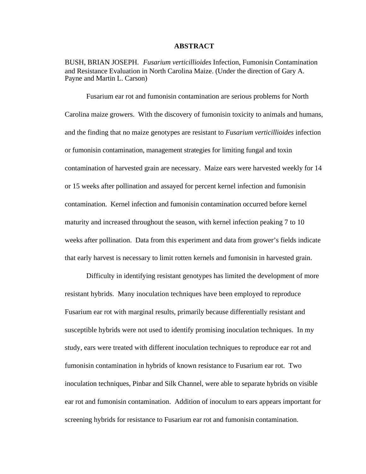### **ABSTRACT**

BUSH, BRIAN JOSEPH. *Fusarium verticillioides* Infection, Fumonisin Contamination and Resistance Evaluation in North Carolina Maize. (Under the direction of Gary A. Payne and Martin L. Carson)

Fusarium ear rot and fumonisin contamination are serious problems for North Carolina maize growers. With the discovery of fumonisin toxicity to animals and humans, and the finding that no maize genotypes are resistant to *Fusarium verticillioides* infection or fumonisin contamination, management strategies for limiting fungal and toxin contamination of harvested grain are necessary. Maize ears were harvested weekly for 14 or 15 weeks after pollination and assayed for percent kernel infection and fumonisin contamination. Kernel infection and fumonisin contamination occurred before kernel maturity and increased throughout the season, with kernel infection peaking 7 to 10 weeks after pollination. Data from this experiment and data from grower's fields indicate that early harvest is necessary to limit rotten kernels and fumonisin in harvested grain.

Difficulty in identifying resistant genotypes has limited the development of more resistant hybrids. Many inoculation techniques have been employed to reproduce Fusarium ear rot with marginal results, primarily because differentially resistant and susceptible hybrids were not used to identify promising inoculation techniques. In my study, ears were treated with different inoculation techniques to reproduce ear rot and fumonisin contamination in hybrids of known resistance to Fusarium ear rot. Two inoculation techniques, Pinbar and Silk Channel, were able to separate hybrids on visible ear rot and fumonisin contamination. Addition of inoculum to ears appears important for screening hybrids for resistance to Fusarium ear rot and fumonisin contamination.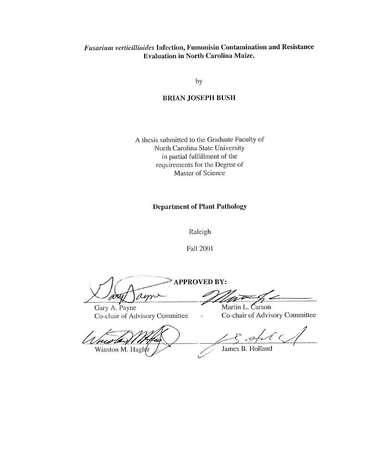## Fusarium verticillioides Infection, Fumonisin Contamination and Resistance **Evaluation in North Carolina Maize.**

by

### **BRIAN JOSEPH BUSH**

A thesis submitted to the Graduate Faculty of North Carolina State University in partial fulfillment of the requirements for the Degree of Master of Science

### **Department of Plant Pathology**

Raleigh

**Fall 2001** 

APPROVED BY: am

Gary A. Payne Co-chair of Advisory Committee

 $\sim$  s/c) Winston M. Hagler

<u>in</u> to

Martin L. Carson Co-chair of Advisory Committee

 $\ell$  ( ,

James B. Holland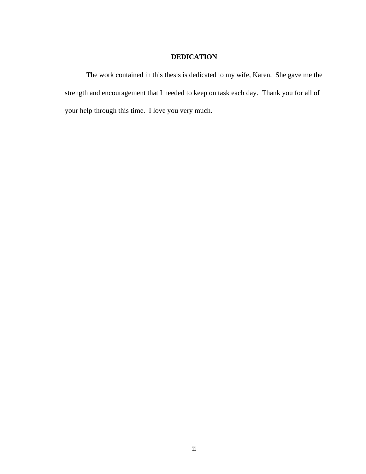## **DEDICATION**

The work contained in this thesis is dedicated to my wife, Karen. She gave me the strength and encouragement that I needed to keep on task each day. Thank you for all of your help through this time. I love you very much.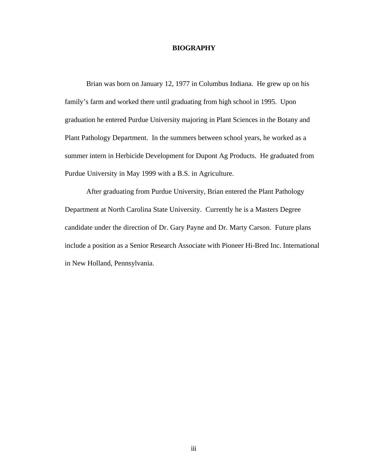#### **BIOGRAPHY**

Brian was born on January 12, 1977 in Columbus Indiana. He grew up on his family's farm and worked there until graduating from high school in 1995. Upon graduation he entered Purdue University majoring in Plant Sciences in the Botany and Plant Pathology Department. In the summers between school years, he worked as a summer intern in Herbicide Development for Dupont Ag Products. He graduated from Purdue University in May 1999 with a B.S. in Agriculture.

After graduating from Purdue University, Brian entered the Plant Pathology Department at North Carolina State University. Currently he is a Masters Degree candidate under the direction of Dr. Gary Payne and Dr. Marty Carson. Future plans include a position as a Senior Research Associate with Pioneer Hi-Bred Inc. International in New Holland, Pennsylvania.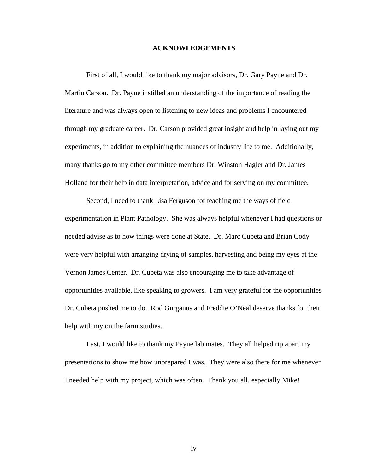#### **ACKNOWLEDGEMENTS**

First of all, I would like to thank my major advisors, Dr. Gary Payne and Dr. Martin Carson. Dr. Payne instilled an understanding of the importance of reading the literature and was always open to listening to new ideas and problems I encountered through my graduate career. Dr. Carson provided great insight and help in laying out my experiments, in addition to explaining the nuances of industry life to me. Additionally, many thanks go to my other committee members Dr. Winston Hagler and Dr. James Holland for their help in data interpretation, advice and for serving on my committee.

Second, I need to thank Lisa Ferguson for teaching me the ways of field experimentation in Plant Pathology. She was always helpful whenever I had questions or needed advise as to how things were done at State. Dr. Marc Cubeta and Brian Cody were very helpful with arranging drying of samples, harvesting and being my eyes at the Vernon James Center. Dr. Cubeta was also encouraging me to take advantage of opportunities available, like speaking to growers. I am very grateful for the opportunities Dr. Cubeta pushed me to do. Rod Gurganus and Freddie O'Neal deserve thanks for their help with my on the farm studies.

Last, I would like to thank my Payne lab mates. They all helped rip apart my presentations to show me how unprepared I was. They were also there for me whenever I needed help with my project, which was often. Thank you all, especially Mike!

iv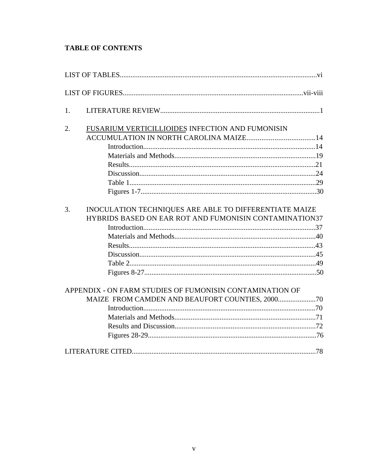# **TABLE OF CONTENTS**

| 1. |                                                          |  |
|----|----------------------------------------------------------|--|
| 2. | FUSARIUM VERTICILLIOIDES INFECTION AND FUMONISIN         |  |
|    |                                                          |  |
|    |                                                          |  |
|    |                                                          |  |
|    |                                                          |  |
|    |                                                          |  |
|    |                                                          |  |
|    |                                                          |  |
| 3. | INOCULATION TECHNIQUES ARE ABLE TO DIFFERENTIATE MAIZE   |  |
|    | HYBRIDS BASED ON EAR ROT AND FUMONISIN CONTAMINATION37   |  |
|    |                                                          |  |
|    |                                                          |  |
|    |                                                          |  |
|    |                                                          |  |
|    |                                                          |  |
|    |                                                          |  |
|    | APPENDIX - ON FARM STUDIES OF FUMONISIN CONTAMINATION OF |  |
|    |                                                          |  |
|    |                                                          |  |
|    |                                                          |  |
|    |                                                          |  |
|    |                                                          |  |
|    |                                                          |  |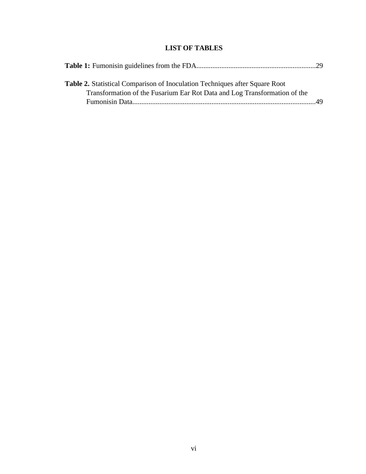# **LIST OF TABLES**

| <b>Table 2.</b> Statistical Comparison of Inoculation Techniques after Square Root |  |
|------------------------------------------------------------------------------------|--|
| Transformation of the Fusarium Ear Rot Data and Log Transformation of the          |  |
|                                                                                    |  |
|                                                                                    |  |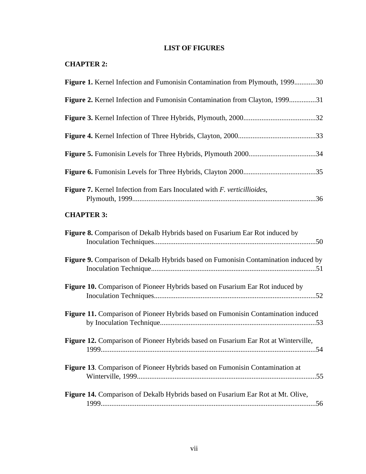# **LIST OF FIGURES**

|  | <b>CHAPTER 2:</b> |  |
|--|-------------------|--|
|--|-------------------|--|

| Figure 1. Kernel Infection and Fumonisin Contamination from Plymouth, 199930            |  |
|-----------------------------------------------------------------------------------------|--|
| Figure 2. Kernel Infection and Fumonisin Contamination from Clayton, 199931             |  |
|                                                                                         |  |
|                                                                                         |  |
|                                                                                         |  |
|                                                                                         |  |
| <b>Figure 7.</b> Kernel Infection from Ears Inoculated with <i>F. verticillioides</i> , |  |
| <b>CHAPTER 3:</b>                                                                       |  |
| Figure 8. Comparison of Dekalb Hybrids based on Fusarium Ear Rot induced by             |  |
| Figure 9. Comparison of Dekalb Hybrids based on Fumonisin Contamination induced by      |  |
| Figure 10. Comparison of Pioneer Hybrids based on Fusarium Ear Rot induced by           |  |
| Figure 11. Comparison of Pioneer Hybrids based on Fumonisin Contamination induced       |  |
| Figure 12. Comparison of Pioneer Hybrids based on Fusarium Ear Rot at Winterville,      |  |
| <b>Figure 13.</b> Comparison of Pioneer Hybrids based on Fumonisin Contamination at     |  |
| Figure 14. Comparison of Dekalb Hybrids based on Fusarium Ear Rot at Mt. Olive,         |  |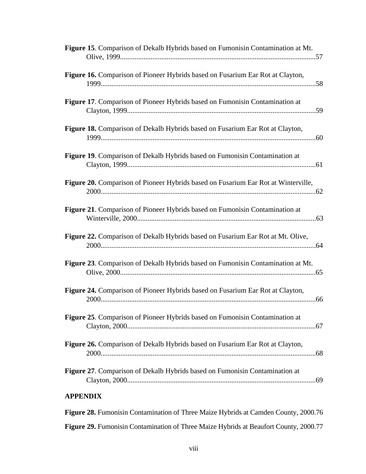|                 | Figure 15. Comparison of Dekalb Hybrids based on Fumonisin Contamination at Mt.     |
|-----------------|-------------------------------------------------------------------------------------|
|                 | Figure 16. Comparison of Pioneer Hybrids based on Fusarium Ear Rot at Clayton,      |
|                 | <b>Figure 17.</b> Comparison of Pioneer Hybrids based on Fumonisin Contamination at |
|                 | Figure 18. Comparison of Dekalb Hybrids based on Fusarium Ear Rot at Clayton,       |
|                 | Figure 19. Comparison of Dekalb Hybrids based on Fumonisin Contamination at         |
|                 | Figure 20. Comparison of Pioneer Hybrids based on Fusarium Ear Rot at Winterville,  |
|                 | Figure 21. Comparison of Pioneer Hybrids based on Fumonisin Contamination at        |
|                 | Figure 22. Comparison of Dekalb Hybrids based on Fusarium Ear Rot at Mt. Olive,     |
|                 | Figure 23. Comparison of Dekalb Hybrids based on Fumonisin Contamination at Mt.     |
|                 | Figure 24. Comparison of Pioneer Hybrids based on Fusarium Ear Rot at Clayton,      |
|                 | Figure 25. Comparison of Pioneer Hybrids based on Fumonisin Contamination at        |
|                 | Figure 26. Comparison of Dekalb Hybrids based on Fusarium Ear Rot at Clayton,       |
|                 | <b>Figure 27.</b> Comparison of Dekalb Hybrids based on Fumonisin Contamination at  |
| <b>APPENDIX</b> |                                                                                     |

**Figure 28.** Fumonisin Contamination of Three Maize Hybrids at Camden County, 2000.76 **Figure 29.** Fumonisin Contamination of Three Maize Hybrids at Beaufort County, 2000.77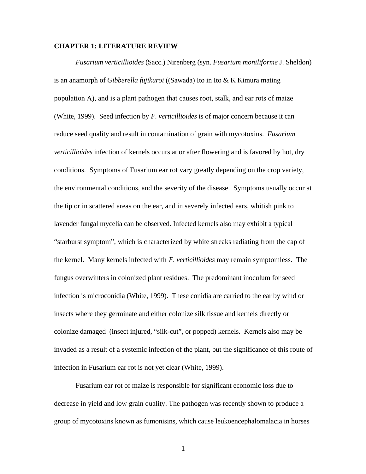### **CHAPTER 1: LITERATURE REVIEW**

*Fusarium verticillioides* (Sacc.) Nirenberg (syn. *Fusarium moniliforme* J. Sheldon) is an anamorph of *Gibberella fujikuroi* ((Sawada) Ito in Ito & K Kimura mating population A), and is a plant pathogen that causes root, stalk, and ear rots of maize (White, 1999). Seed infection by *F. verticillioides* is of major concern because it can reduce seed quality and result in contamination of grain with mycotoxins. *Fusarium verticillioides* infection of kernels occurs at or after flowering and is favored by hot, dry conditions. Symptoms of Fusarium ear rot vary greatly depending on the crop variety, the environmental conditions, and the severity of the disease. Symptoms usually occur at the tip or in scattered areas on the ear, and in severely infected ears, whitish pink to lavender fungal mycelia can be observed. Infected kernels also may exhibit a typical "starburst symptom", which is characterized by white streaks radiating from the cap of the kernel. Many kernels infected with *F. verticillioides* may remain symptomless. The fungus overwinters in colonized plant residues. The predominant inoculum for seed infection is microconidia (White, 1999). These conidia are carried to the ear by wind or insects where they germinate and either colonize silk tissue and kernels directly or colonize damaged (insect injured, "silk-cut", or popped) kernels. Kernels also may be invaded as a result of a systemic infection of the plant, but the significance of this route of infection in Fusarium ear rot is not yet clear (White, 1999).

Fusarium ear rot of maize is responsible for significant economic loss due to decrease in yield and low grain quality. The pathogen was recently shown to produce a group of mycotoxins known as fumonisins, which cause leukoencephalomalacia in horses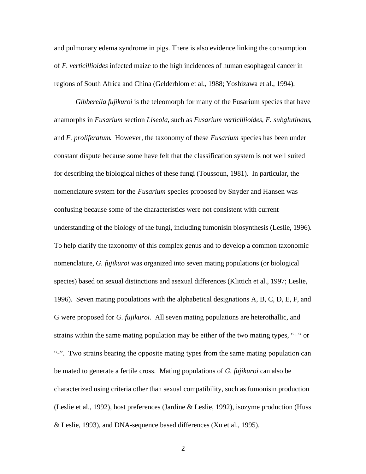and pulmonary edema syndrome in pigs. There is also evidence linking the consumption of *F. verticillioides* infected maize to the high incidences of human esophageal cancer in regions of South Africa and China (Gelderblom et al., 1988; Yoshizawa et al., 1994).

*Gibberella fujikuroi* is the teleomorph for many of the Fusarium species that have anamorphs in *Fusarium* section *Liseola*, such as *Fusarium verticillioides*, *F. subglutinans*, and *F. proliferatum*. However, the taxonomy of these *Fusarium* species has been under constant dispute because some have felt that the classification system is not well suited for describing the biological niches of these fungi (Toussoun, 1981). In particular, the nomenclature system for the *Fusarium* species proposed by Snyder and Hansen was confusing because some of the characteristics were not consistent with current understanding of the biology of the fungi, including fumonisin biosynthesis (Leslie, 1996). To help clarify the taxonomy of this complex genus and to develop a common taxonomic nomenclature, *G. fujikuroi* was organized into seven mating populations (or biological species) based on sexual distinctions and asexual differences (Klittich et al., 1997; Leslie, 1996). Seven mating populations with the alphabetical designations A, B, C, D, E, F, and G were proposed for *G. fujikuroi.* All seven mating populations are heterothallic, and strains within the same mating population may be either of the two mating types, "+" or "-". Two strains bearing the opposite mating types from the same mating population can be mated to generate a fertile cross. Mating populations of *G. fujikuroi* can also be characterized using criteria other than sexual compatibility, such as fumonisin production (Leslie et al., 1992), host preferences (Jardine & Leslie, 1992), isozyme production (Huss & Leslie, 1993), and DNA-sequence based differences (Xu et al., 1995).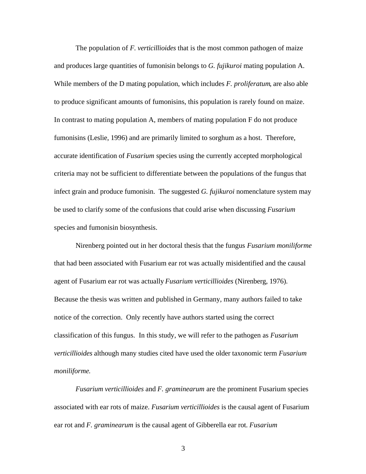The population of *F. verticillioides* that is the most common pathogen of maize and produces large quantities of fumonisin belongs to *G. fujikuroi* mating population A. While members of the D mating population, which includes *F. proliferatum*, are also able to produce significant amounts of fumonisins, this population is rarely found on maize. In contrast to mating population A, members of mating population F do not produce fumonisins (Leslie, 1996) and are primarily limited to sorghum as a host. Therefore, accurate identification of *Fusarium* species using the currently accepted morphological criteria may not be sufficient to differentiate between the populations of the fungus that infect grain and produce fumonisin. The suggested *G. fujikuroi* nomenclature system may be used to clarify some of the confusions that could arise when discussing *Fusarium* species and fumonisin biosynthesis.

Nirenberg pointed out in her doctoral thesis that the fungus *Fusarium moniliforme* that had been associated with Fusarium ear rot was actually misidentified and the causal agent of Fusarium ear rot was actually *Fusarium verticillioides* (Nirenberg, 1976). Because the thesis was written and published in Germany, many authors failed to take notice of the correction. Only recently have authors started using the correct classification of this fungus. In this study, we will refer to the pathogen as *Fusarium verticillioides* although many studies cited have used the older taxonomic term *Fusarium moniliforme*.

*Fusarium verticillioides* and *F. graminearum* are the prominent Fusarium species associated with ear rots of maize. *Fusarium verticillioides* is the causal agent of Fusarium ear rot and *F. graminearum* is the causal agent of Gibberella ear rot. *Fusarium*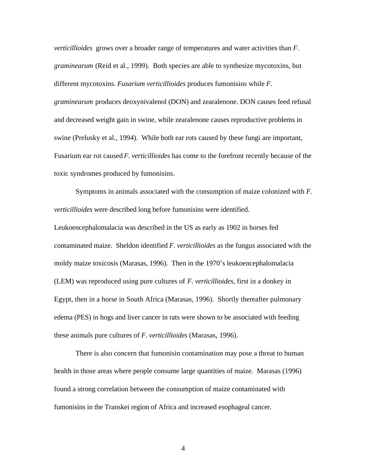*verticillioides* grows over a broader range of temperatures and water activities than *F. graminearum* (Reid et al., 1999). Both species are able to synthesize mycotoxins, but different mycotoxins. *Fusarium verticillioides* produces fumonisins while *F. graminearum* produces deoxynivalenol (DON) and zearalenone. DON causes feed refusal and decreased weight gain in swine, while zearalenone causes reproductive problems in swine (Prelusky et al., 1994). While both ear rots caused by these fungi are important, Fusarium ear rot caused *F. verticillioides* has come to the forefront recently because of the toxic syndromes produced by fumonisins.

Symptoms in animals associated with the consumption of maize colonized with *F. verticillioides* were described long before fumonisins were identified. Leukoencephalomalacia was described in the US as early as 1902 in horses fed contaminated maize. Sheldon identified *F. verticillioides* as the fungus associated with the moldy maize toxicosis (Marasas, 1996). Then in the 1970's leukoencephalomalacia (LEM) was reproduced using pure cultures of *F. verticillioides*, first in a donkey in Egypt, then in a horse in South Africa (Marasas, 1996). Shortly thereafter pulmonary edema (PES) in hogs and liver cancer in rats were shown to be associated with feeding these animals pure cultures of *F. verticillioides* (Marasas, 1996).

There is also concern that fumonisin contamination may pose a threat to human health in those areas where people consume large quantities of maize. Marasas (1996) found a strong correlation between the consumption of maize contaminated with fumonisins in the Transkei region of Africa and increased esophageal cancer.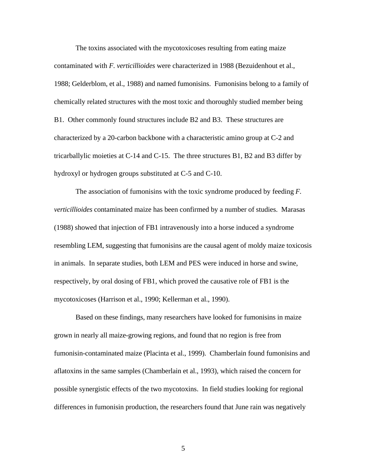The toxins associated with the mycotoxicoses resulting from eating maize contaminated with *F*. *verticillioides* were characterized in 1988 (Bezuidenhout et al., 1988; Gelderblom, et al., 1988) and named fumonisins. Fumonisins belong to a family of chemically related structures with the most toxic and thoroughly studied member being B1. Other commonly found structures include B2 and B3. These structures are characterized by a 20-carbon backbone with a characteristic amino group at C-2 and tricarballylic moieties at C-14 and C-15. The three structures B1, B2 and B3 differ by hydroxyl or hydrogen groups substituted at C-5 and C-10.

The association of fumonisins with the toxic syndrome produced by feeding *F. verticillioides* contaminated maize has been confirmed by a number of studies. Marasas (1988) showed that injection of FB1 intravenously into a horse induced a syndrome resembling LEM, suggesting that fumonisins are the causal agent of moldy maize toxicosis in animals. In separate studies, both LEM and PES were induced in horse and swine, respectively, by oral dosing of FB1, which proved the causative role of FB1 is the mycotoxicoses (Harrison et al., 1990; Kellerman et al., 1990).

Based on these findings, many researchers have looked for fumonisins in maize grown in nearly all maize-growing regions, and found that no region is free from fumonisin-contaminated maize (Placinta et al., 1999). Chamberlain found fumonisins and aflatoxins in the same samples (Chamberlain et al., 1993), which raised the concern for possible synergistic effects of the two mycotoxins. In field studies looking for regional differences in fumonisin production, the researchers found that June rain was negatively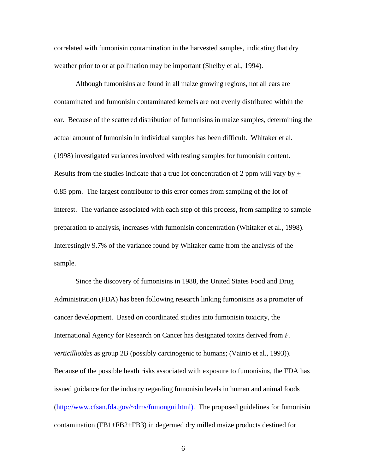correlated with fumonisin contamination in the harvested samples, indicating that dry weather prior to or at pollination may be important (Shelby et al., 1994).

Although fumonisins are found in all maize growing regions, not all ears are contaminated and fumonisin contaminated kernels are not evenly distributed within the ear. Because of the scattered distribution of fumonisins in maize samples, determining the actual amount of fumonisin in individual samples has been difficult. Whitaker et al. (1998) investigated variances involved with testing samples for fumonisin content. Results from the studies indicate that a true lot concentration of 2 ppm will vary by  $\pm$ 0.85 ppm. The largest contributor to this error comes from sampling of the lot of interest. The variance associated with each step of this process, from sampling to sample preparation to analysis, increases with fumonisin concentration (Whitaker et al., 1998). Interestingly 9.7% of the variance found by Whitaker came from the analysis of the sample.

Since the discovery of fumonisins in 1988, the United States Food and Drug Administration (FDA) has been following research linking fumonisins as a promoter of cancer development. Based on coordinated studies into fumonisin toxicity, the International Agency for Research on Cancer has designated toxins derived from *F. verticillioides* as group 2B (possibly carcinogenic to humans; (Vainio et al., 1993)). Because of the possible heath risks associated with exposure to fumonisins, the FDA has issued guidance for the industry regarding fumonisin levels in human and animal foods (http://www.cfsan.fda.gov/~dms/fumongui.html). The proposed guidelines for fumonisin contamination (FB1+FB2+FB3) in degermed dry milled maize products destined for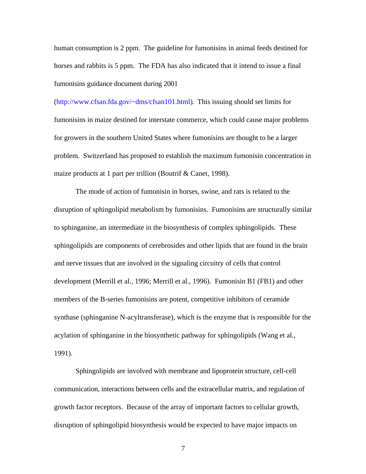human consumption is 2 ppm. The guideline for fumonisins in animal feeds destined for horses and rabbits is 5 ppm. The FDA has also indicated that it intend to issue a final fumonisins guidance document during 2001

(http://www.cfsan.fda.gov/~dms/cfsan101.html). This issuing should set limits for fumonisins in maize destined for interstate commerce, which could cause major problems for growers in the southern United States where fumonisins are thought to be a larger problem. Switzerland has proposed to establish the maximum fumonisin concentration in maize products at 1 part per trillion (Boutrif & Canet, 1998).

The mode of action of fumonisin in horses, swine, and rats is related to the disruption of sphingolipid metabolism by fumonisins. Fumonisins are structurally similar to sphinganine, an intermediate in the biosynthesis of complex sphingolipids. These sphingolipids are components of cerebrosides and other lipids that are found in the brain and nerve tissues that are involved in the signaling circuitry of cells that control development (Merrill et al., 1996; Merrill et al., 1996). Fumonisin B1 (FB1) and other members of the B-series fumonisins are potent, competitive inhibitors of ceramide synthase (sphinganine N-acyltransferase), which is the enzyme that is responsible for the acylation of sphinganine in the biosynthetic pathway for sphingolipids (Wang et al., 1991).

Sphingolipids are involved with membrane and lipoprotein structure, cell-cell communication, interactions between cells and the extracellular matrix, and regulation of growth factor receptors. Because of the array of important factors to cellular growth, disruption of sphingolipid biosynthesis would be expected to have major impacts on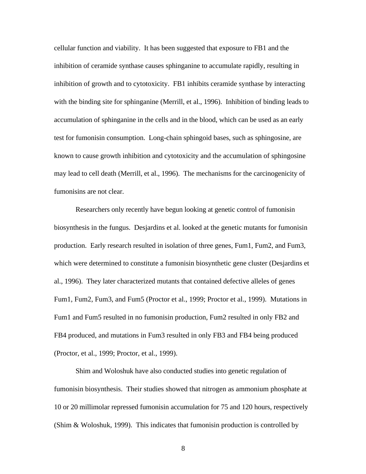cellular function and viability. It has been suggested that exposure to FB1 and the inhibition of ceramide synthase causes sphinganine to accumulate rapidly, resulting in inhibition of growth and to cytotoxicity. FB1 inhibits ceramide synthase by interacting with the binding site for sphinganine (Merrill, et al., 1996). Inhibition of binding leads to accumulation of sphinganine in the cells and in the blood, which can be used as an early test for fumonisin consumption. Long-chain sphingoid bases, such as sphingosine, are known to cause growth inhibition and cytotoxicity and the accumulation of sphingosine may lead to cell death (Merrill, et al., 1996). The mechanisms for the carcinogenicity of fumonisins are not clear.

Researchers only recently have begun looking at genetic control of fumonisin biosynthesis in the fungus. Desjardins et al. looked at the genetic mutants for fumonisin production. Early research resulted in isolation of three genes, Fum1, Fum2, and Fum3, which were determined to constitute a fumonisin biosynthetic gene cluster (Desjardins et al., 1996). They later characterized mutants that contained defective alleles of genes Fum1, Fum2, Fum3, and Fum5 (Proctor et al., 1999; Proctor et al., 1999). Mutations in Fum1 and Fum5 resulted in no fumonisin production, Fum2 resulted in only FB2 and FB4 produced, and mutations in Fum3 resulted in only FB3 and FB4 being produced (Proctor, et al., 1999; Proctor, et al., 1999).

Shim and Woloshuk have also conducted studies into genetic regulation of fumonisin biosynthesis. Their studies showed that nitrogen as ammonium phosphate at 10 or 20 millimolar repressed fumonisin accumulation for 75 and 120 hours, respectively (Shim & Woloshuk, 1999). This indicates that fumonisin production is controlled by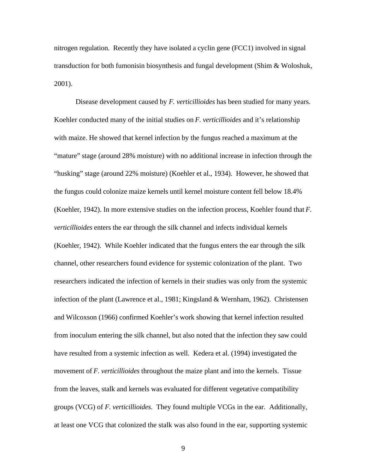nitrogen regulation. Recently they have isolated a cyclin gene (FCC1) involved in signal transduction for both fumonisin biosynthesis and fungal development (Shim & Woloshuk, 2001).

Disease development caused by *F. verticillioides* has been studied for many years. Koehler conducted many of the initial studies on *F. verticillioides* and it's relationship with maize. He showed that kernel infection by the fungus reached a maximum at the "mature" stage (around 28% moisture) with no additional increase in infection through the "husking" stage (around 22% moisture) (Koehler et al., 1934). However, he showed that the fungus could colonize maize kernels until kernel moisture content fell below 18.4% (Koehler, 1942). In more extensive studies on the infection process, Koehler found that *F. verticillioides* enters the ear through the silk channel and infects individual kernels (Koehler, 1942). While Koehler indicated that the fungus enters the ear through the silk channel, other researchers found evidence for systemic colonization of the plant. Two researchers indicated the infection of kernels in their studies was only from the systemic infection of the plant (Lawrence et al., 1981; Kingsland & Wernham, 1962). Christensen and Wilcoxson (1966) confirmed Koehler's work showing that kernel infection resulted from inoculum entering the silk channel, but also noted that the infection they saw could have resulted from a systemic infection as well. Kedera et al. (1994) investigated the movement of *F. verticillioides* throughout the maize plant and into the kernels. Tissue from the leaves, stalk and kernels was evaluated for different vegetative compatibility groups (VCG) of *F. verticillioides*. They found multiple VCGs in the ear. Additionally, at least one VCG that colonized the stalk was also found in the ear, supporting systemic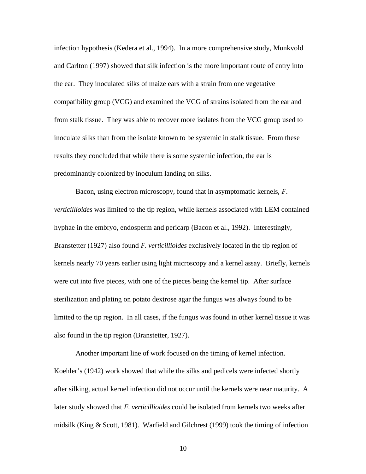infection hypothesis (Kedera et al., 1994). In a more comprehensive study, Munkvold and Carlton (1997) showed that silk infection is the more important route of entry into the ear. They inoculated silks of maize ears with a strain from one vegetative compatibility group (VCG) and examined the VCG of strains isolated from the ear and from stalk tissue. They was able to recover more isolates from the VCG group used to inoculate silks than from the isolate known to be systemic in stalk tissue. From these results they concluded that while there is some systemic infection, the ear is predominantly colonized by inoculum landing on silks.

Bacon, using electron microscopy, found that in asymptomatic kernels, *F. verticillioides* was limited to the tip region, while kernels associated with LEM contained hyphae in the embryo, endosperm and pericarp (Bacon et al., 1992). Interestingly, Branstetter (1927) also found *F. verticillioides* exclusively located in the tip region of kernels nearly 70 years earlier using light microscopy and a kernel assay. Briefly, kernels were cut into five pieces, with one of the pieces being the kernel tip. After surface sterilization and plating on potato dextrose agar the fungus was always found to be limited to the tip region. In all cases, if the fungus was found in other kernel tissue it was also found in the tip region (Branstetter, 1927).

Another important line of work focused on the timing of kernel infection. Koehler's (1942) work showed that while the silks and pedicels were infected shortly after silking, actual kernel infection did not occur until the kernels were near maturity. A later study showed that *F. verticillioides* could be isolated from kernels two weeks after midsilk (King & Scott, 1981). Warfield and Gilchrest (1999) took the timing of infection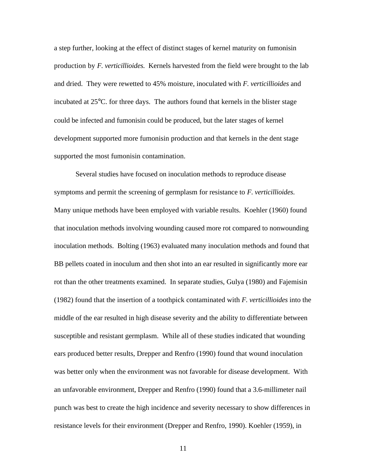a step further, looking at the effect of distinct stages of kernel maturity on fumonisin production by *F. verticillioides.* Kernels harvested from the field were brought to the lab and dried. They were rewetted to 45% moisture, inoculated with *F. verticillioides* and incubated at 25°C. for three days. The authors found that kernels in the blister stage could be infected and fumonisin could be produced, but the later stages of kernel development supported more fumonisin production and that kernels in the dent stage supported the most fumonisin contamination.

Several studies have focused on inoculation methods to reproduce disease symptoms and permit the screening of germplasm for resistance to *F. verticillioides*. Many unique methods have been employed with variable results. Koehler (1960) found that inoculation methods involving wounding caused more rot compared to nonwounding inoculation methods. Bolting (1963) evaluated many inoculation methods and found that BB pellets coated in inoculum and then shot into an ear resulted in significantly more ear rot than the other treatments examined. In separate studies, Gulya (1980) and Fajemisin (1982) found that the insertion of a toothpick contaminated with *F. verticillioides* into the middle of the ear resulted in high disease severity and the ability to differentiate between susceptible and resistant germplasm. While all of these studies indicated that wounding ears produced better results, Drepper and Renfro (1990) found that wound inoculation was better only when the environment was not favorable for disease development. With an unfavorable environment, Drepper and Renfro (1990) found that a 3.6-millimeter nail punch was best to create the high incidence and severity necessary to show differences in resistance levels for their environment (Drepper and Renfro, 1990). Koehler (1959), in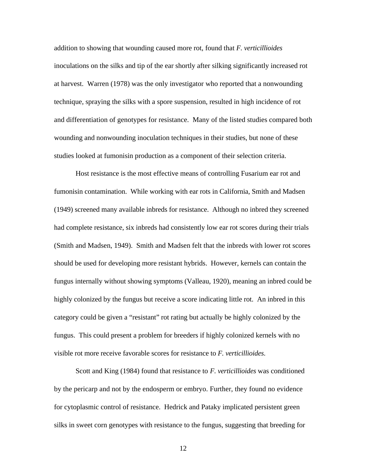addition to showing that wounding caused more rot, found that *F. verticillioides* inoculations on the silks and tip of the ear shortly after silking significantly increased rot at harvest. Warren (1978) was the only investigator who reported that a nonwounding technique, spraying the silks with a spore suspension, resulted in high incidence of rot and differentiation of genotypes for resistance. Many of the listed studies compared both wounding and nonwounding inoculation techniques in their studies, but none of these studies looked at fumonisin production as a component of their selection criteria.

Host resistance is the most effective means of controlling Fusarium ear rot and fumonisin contamination. While working with ear rots in California, Smith and Madsen (1949) screened many available inbreds for resistance. Although no inbred they screened had complete resistance, six inbreds had consistently low ear rot scores during their trials (Smith and Madsen, 1949). Smith and Madsen felt that the inbreds with lower rot scores should be used for developing more resistant hybrids. However, kernels can contain the fungus internally without showing symptoms (Valleau, 1920), meaning an inbred could be highly colonized by the fungus but receive a score indicating little rot. An inbred in this category could be given a "resistant" rot rating but actually be highly colonized by the fungus. This could present a problem for breeders if highly colonized kernels with no visible rot more receive favorable scores for resistance to *F. verticillioides*.

Scott and King (1984) found that resistance to *F. verticillioides* was conditioned by the pericarp and not by the endosperm or embryo. Further, they found no evidence for cytoplasmic control of resistance. Hedrick and Pataky implicated persistent green silks in sweet corn genotypes with resistance to the fungus, suggesting that breeding for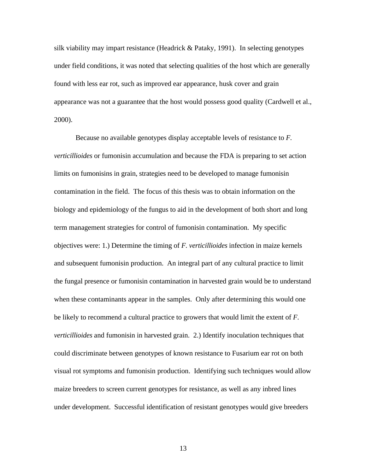silk viability may impart resistance (Headrick & Pataky, 1991). In selecting genotypes under field conditions, it was noted that selecting qualities of the host which are generally found with less ear rot, such as improved ear appearance, husk cover and grain appearance was not a guarantee that the host would possess good quality (Cardwell et al., 2000).

Because no available genotypes display acceptable levels of resistance to *F. verticillioides* or fumonisin accumulation and because the FDA is preparing to set action limits on fumonisins in grain, strategies need to be developed to manage fumonisin contamination in the field. The focus of this thesis was to obtain information on the biology and epidemiology of the fungus to aid in the development of both short and long term management strategies for control of fumonisin contamination. My specific objectives were: 1.) Determine the timing of *F. verticillioides* infection in maize kernels and subsequent fumonisin production. An integral part of any cultural practice to limit the fungal presence or fumonisin contamination in harvested grain would be to understand when these contaminants appear in the samples. Only after determining this would one be likely to recommend a cultural practice to growers that would limit the extent of *F. verticillioides* and fumonisin in harvested grain. 2.) Identify inoculation techniques that could discriminate between genotypes of known resistance to Fusarium ear rot on both visual rot symptoms and fumonisin production. Identifying such techniques would allow maize breeders to screen current genotypes for resistance, as well as any inbred lines under development. Successful identification of resistant genotypes would give breeders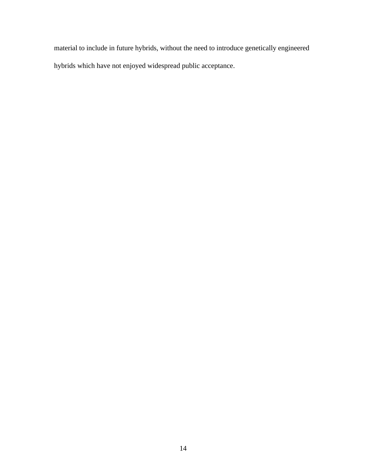material to include in future hybrids, without the need to introduce genetically engineered hybrids which have not enjoyed widespread public acceptance.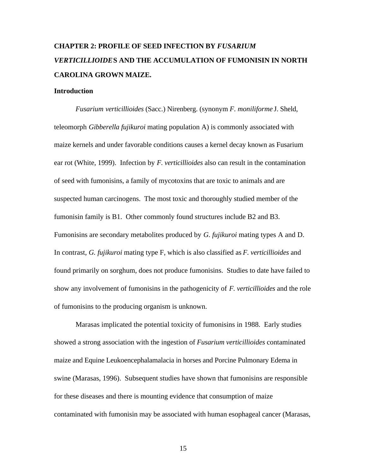# **CHAPTER 2: PROFILE OF SEED INFECTION BY** *FUSARIUM VERTICILLIOIDE***S AND THE ACCUMULATION OF FUMONISIN IN NORTH CAROLINA GROWN MAIZE.**

### **Introduction**

*Fusarium verticillioides* (Sacc.) Nirenberg. (synonym *F. moniliforme* J. Sheld, teleomorph *Gibberella fujikuroi* mating population A) is commonly associated with maize kernels and under favorable conditions causes a kernel decay known as Fusarium ear rot (White, 1999). Infection by *F. verticillioides* also can result in the contamination of seed with fumonisins, a family of mycotoxins that are toxic to animals and are suspected human carcinogens. The most toxic and thoroughly studied member of the fumonisin family is B1. Other commonly found structures include B2 and B3. Fumonisins are secondary metabolites produced by *G. fujikuroi* mating types A and D. In contrast, *G. fujikuroi* mating type F, which is also classified as *F. verticillioides* and found primarily on sorghum, does not produce fumonisins. Studies to date have failed to show any involvement of fumonisins in the pathogenicity of *F. verticillioides* and the role of fumonisins to the producing organism is unknown.

Marasas implicated the potential toxicity of fumonisins in 1988. Early studies showed a strong association with the ingestion of *Fusarium verticillioides* contaminated maize and Equine Leukoencephalamalacia in horses and Porcine Pulmonary Edema in swine (Marasas, 1996). Subsequent studies have shown that fumonisins are responsible for these diseases and there is mounting evidence that consumption of maize contaminated with fumonisin may be associated with human esophageal cancer (Marasas,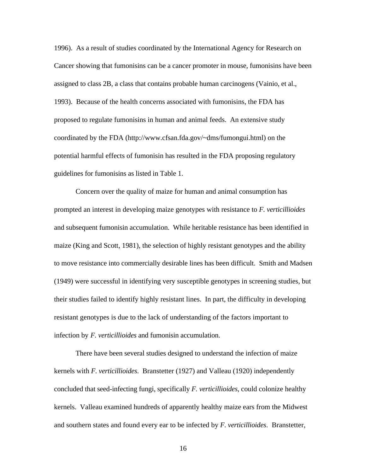1996). As a result of studies coordinated by the International Agency for Research on Cancer showing that fumonisins can be a cancer promoter in mouse, fumonisins have been assigned to class 2B, a class that contains probable human carcinogens (Vainio, et al., 1993). Because of the health concerns associated with fumonisins, the FDA has proposed to regulate fumonisins in human and animal feeds. An extensive study coordinated by the FDA (http://www.cfsan.fda.gov/~dms/fumongui.html) on the potential harmful effects of fumonisin has resulted in the FDA proposing regulatory guidelines for fumonisins as listed in Table 1.

Concern over the quality of maize for human and animal consumption has prompted an interest in developing maize genotypes with resistance to *F. verticillioides* and subsequent fumonisin accumulation. While heritable resistance has been identified in maize (King and Scott, 1981), the selection of highly resistant genotypes and the ability to move resistance into commercially desirable lines has been difficult. Smith and Madsen (1949) were successful in identifying very susceptible genotypes in screening studies, but their studies failed to identify highly resistant lines. In part, the difficulty in developing resistant genotypes is due to the lack of understanding of the factors important to infection by *F. verticillioides* and fumonisin accumulation.

There have been several studies designed to understand the infection of maize kernels with *F. verticillioides*. Branstetter (1927) and Valleau (1920) independently concluded that seed-infecting fungi, specifically *F. verticillioides*, could colonize healthy kernels. Valleau examined hundreds of apparently healthy maize ears from the Midwest and southern states and found every ear to be infected by *F. verticillioides*. Branstetter,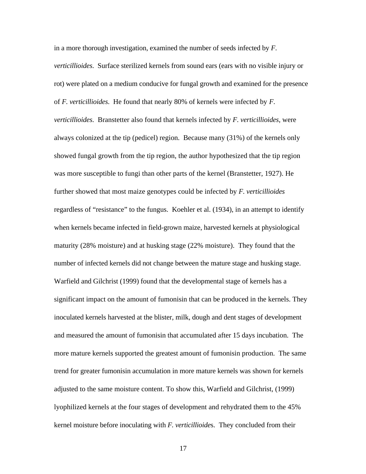in a more thorough investigation, examined the number of seeds infected by *F. verticillioides*. Surface sterilized kernels from sound ears (ears with no visible injury or rot) were plated on a medium conducive for fungal growth and examined for the presence of *F. verticillioides*. He found that nearly 80% of kernels were infected by *F. verticillioides*. Branstetter also found that kernels infected by *F. verticillioides*, were always colonized at the tip (pedicel) region. Because many (31%) of the kernels only showed fungal growth from the tip region, the author hypothesized that the tip region was more susceptible to fungi than other parts of the kernel (Branstetter, 1927). He further showed that most maize genotypes could be infected by *F. verticillioides* regardless of "resistance" to the fungus. Koehler et al. (1934), in an attempt to identify when kernels became infected in field-grown maize, harvested kernels at physiological maturity (28% moisture) and at husking stage (22% moisture). They found that the number of infected kernels did not change between the mature stage and husking stage. Warfield and Gilchrist (1999) found that the developmental stage of kernels has a significant impact on the amount of fumonisin that can be produced in the kernels. They inoculated kernels harvested at the blister, milk, dough and dent stages of development and measured the amount of fumonisin that accumulated after 15 days incubation. The more mature kernels supported the greatest amount of fumonisin production. The same trend for greater fumonisin accumulation in more mature kernels was shown for kernels adjusted to the same moisture content. To show this, Warfield and Gilchrist, (1999) lyophilized kernels at the four stages of development and rehydrated them to the 45% kernel moisture before inoculating with *F. verticillioide*s. They concluded from their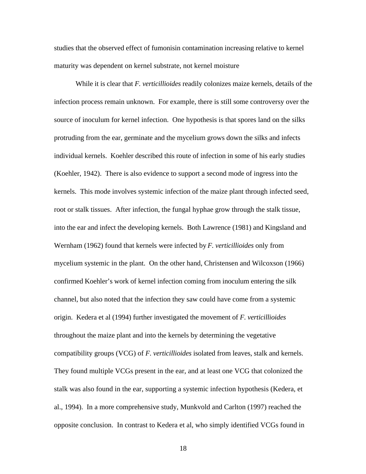studies that the observed effect of fumonisin contamination increasing relative to kernel maturity was dependent on kernel substrate, not kernel moisture

While it is clear that *F. verticillioides* readily colonizes maize kernels, details of the infection process remain unknown. For example, there is still some controversy over the source of inoculum for kernel infection. One hypothesis is that spores land on the silks protruding from the ear, germinate and the mycelium grows down the silks and infects individual kernels. Koehler described this route of infection in some of his early studies (Koehler, 1942). There is also evidence to support a second mode of ingress into the kernels. This mode involves systemic infection of the maize plant through infected seed, root or stalk tissues. After infection, the fungal hyphae grow through the stalk tissue, into the ear and infect the developing kernels. Both Lawrence (1981) and Kingsland and Wernham (1962) found that kernels were infected by *F. verticillioides* only from mycelium systemic in the plant. On the other hand, Christensen and Wilcoxson (1966) confirmed Koehler's work of kernel infection coming from inoculum entering the silk channel, but also noted that the infection they saw could have come from a systemic origin. Kedera et al (1994) further investigated the movement of *F. verticillioides* throughout the maize plant and into the kernels by determining the vegetative compatibility groups (VCG) of *F. verticillioides* isolated from leaves, stalk and kernels. They found multiple VCGs present in the ear, and at least one VCG that colonized the stalk was also found in the ear, supporting a systemic infection hypothesis (Kedera, et al., 1994). In a more comprehensive study, Munkvold and Carlton (1997) reached the opposite conclusion. In contrast to Kedera et al, who simply identified VCGs found in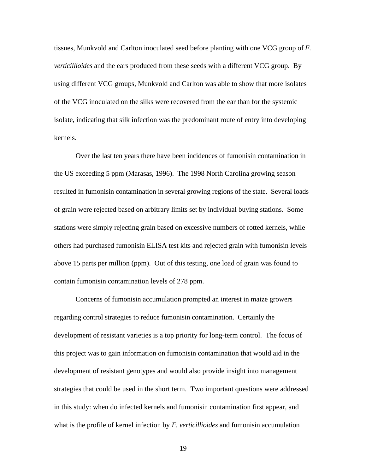tissues, Munkvold and Carlton inoculated seed before planting with one VCG group of *F. verticillioides* and the ears produced from these seeds with a different VCG group. By using different VCG groups, Munkvold and Carlton was able to show that more isolates of the VCG inoculated on the silks were recovered from the ear than for the systemic isolate, indicating that silk infection was the predominant route of entry into developing kernels.

Over the last ten years there have been incidences of fumonisin contamination in the US exceeding 5 ppm (Marasas, 1996). The 1998 North Carolina growing season resulted in fumonisin contamination in several growing regions of the state. Several loads of grain were rejected based on arbitrary limits set by individual buying stations. Some stations were simply rejecting grain based on excessive numbers of rotted kernels, while others had purchased fumonisin ELISA test kits and rejected grain with fumonisin levels above 15 parts per million (ppm). Out of this testing, one load of grain was found to contain fumonisin contamination levels of 278 ppm.

Concerns of fumonisin accumulation prompted an interest in maize growers regarding control strategies to reduce fumonisin contamination. Certainly the development of resistant varieties is a top priority for long-term control. The focus of this project was to gain information on fumonisin contamination that would aid in the development of resistant genotypes and would also provide insight into management strategies that could be used in the short term. Two important questions were addressed in this study: when do infected kernels and fumonisin contamination first appear, and what is the profile of kernel infection by *F. verticillioides* and fumonisin accumulation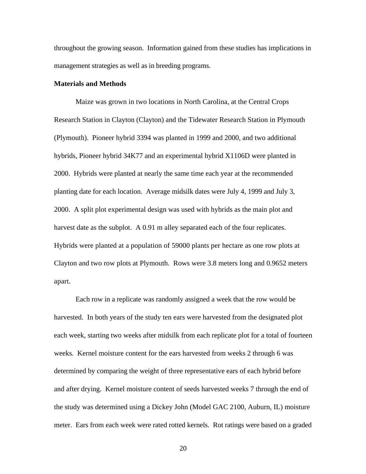throughout the growing season. Information gained from these studies has implications in management strategies as well as in breeding programs.

### **Materials and Methods**

Maize was grown in two locations in North Carolina, at the Central Crops Research Station in Clayton (Clayton) and the Tidewater Research Station in Plymouth (Plymouth). Pioneer hybrid 3394 was planted in 1999 and 2000, and two additional hybrids, Pioneer hybrid 34K77 and an experimental hybrid X1106D were planted in 2000. Hybrids were planted at nearly the same time each year at the recommended planting date for each location. Average midsilk dates were July 4, 1999 and July 3, 2000. A split plot experimental design was used with hybrids as the main plot and harvest date as the subplot. A 0.91 m alley separated each of the four replicates. Hybrids were planted at a population of 59000 plants per hectare as one row plots at Clayton and two row plots at Plymouth. Rows were 3.8 meters long and 0.9652 meters apart.

Each row in a replicate was randomly assigned a week that the row would be harvested. In both years of the study ten ears were harvested from the designated plot each week, starting two weeks after midsilk from each replicate plot for a total of fourteen weeks. Kernel moisture content for the ears harvested from weeks 2 through 6 was determined by comparing the weight of three representative ears of each hybrid before and after drying. Kernel moisture content of seeds harvested weeks 7 through the end of the study was determined using a Dickey John (Model GAC 2100, Auburn, IL) moisture meter. Ears from each week were rated rotted kernels. Rot ratings were based on a graded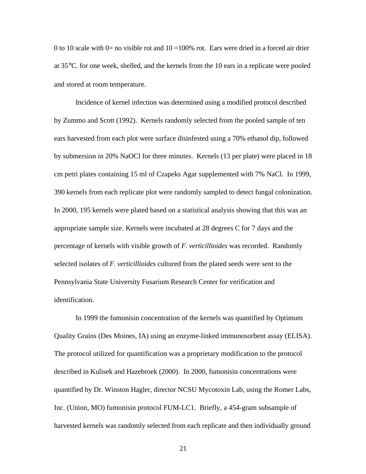0 to 10 scale with 0= no visible rot and  $10 = 100\%$  rot. Ears were dried in a forced air drier at 35°C. for one week, shelled, and the kernels from the 10 ears in a replicate were pooled and stored at room temperature.

Incidence of kernel infection was determined using a modified protocol described by Zummo and Scott (1992). Kernels randomly selected from the pooled sample of ten ears harvested from each plot were surface disinfested using a 70% ethanol dip, followed by submersion in 20% NaOCl for three minutes. Kernels (13 per plate) were placed in 18 cm petri plates containing 15 ml of Czapeks Agar supplemented with 7% NaCl. In 1999, 390 kernels from each replicate plot were randomly sampled to detect fungal colonization. In 2000, 195 kernels were plated based on a statistical analysis showing that this was an appropriate sample size. Kernels were incubated at 28 degrees C for 7 days and the percentage of kernels with visible growth of *F. verticillioides* was recorded. Randomly selected isolates of *F. verticillioides* cultured from the plated seeds were sent to the Pennsylvania State University Fusarium Research Center for verification and identification.

In 1999 the fumonisin concentration of the kernels was quantified by Optimum Quality Grains (Des Moines, IA) using an enzyme-linked immunosorbent assay (ELISA). The protocol utilized for quantification was a proprietary modification to the protocol described in Kulisek and Hazebroek (2000). In 2000, fumonisin concentrations were quantified by Dr. Winston Hagler, director NCSU Mycotoxin Lab, using the Romer Labs, Inc. (Union, MO) fumonisin protocol FUM-LC1. Briefly, a 454-gram subsample of harvested kernels was randomly selected from each replicate and then individually ground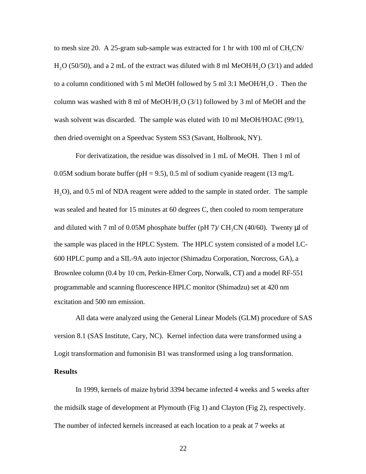to mesh size 20. A 25-gram sub-sample was extracted for 1 hr with 100 ml of  $CH_3CN$ H<sub>2</sub>O (50/50), and a 2 mL of the extract was diluted with 8 ml MeOH/H<sub>2</sub>O (3/1) and added to a column conditioned with 5 ml MeOH followed by 5 ml 3:1 MeOH/H<sub>2</sub>O. Then the column was washed with 8 ml of MeOH/H<sub>2</sub>O (3/1) followed by 3 ml of MeOH and the wash solvent was discarded. The sample was eluted with 10 ml MeOH/HOAC (99/1), then dried overnight on a Speedvac System SS3 (Savant, Holbrook, NY).

For derivatization, the residue was dissolved in 1 mL of MeOH. Then 1 ml of 0.05M sodium borate buffer (pH = 9.5), 0.5 ml of sodium cyanide reagent (13 mg/L H<sub>2</sub>O), and 0.5 ml of NDA reagent were added to the sample in stated order. The sample was sealed and heated for 15 minutes at 60 degrees C, then cooled to room temperature and diluted with 7 ml of 0.05M phosphate buffer (pH 7)/  $CH_3CN$  (40/60). Twenty  $\mu$ l of the sample was placed in the HPLC System. The HPLC system consisted of a model LC-600 HPLC pump and a SIL-9A auto injector (Shimadzu Corporation, Norcross, GA), a Brownlee column (0.4 by 10 cm, Perkin-Elmer Corp, Norwalk, CT) and a model RF-551 programmable and scanning fluorescence HPLC monitor (Shimadzu) set at 420 nm excitation and 500 nm emission.

All data were analyzed using the General Linear Models (GLM) procedure of SAS version 8.1 (SAS Institute, Cary, NC). Kernel infection data were transformed using a Logit transformation and fumonisin B1 was transformed using a log transformation.

### **Results**

In 1999, kernels of maize hybrid 3394 became infected 4 weeks and 5 weeks after the midsilk stage of development at Plymouth (Fig 1) and Clayton (Fig 2), respectively. The number of infected kernels increased at each location to a peak at 7 weeks at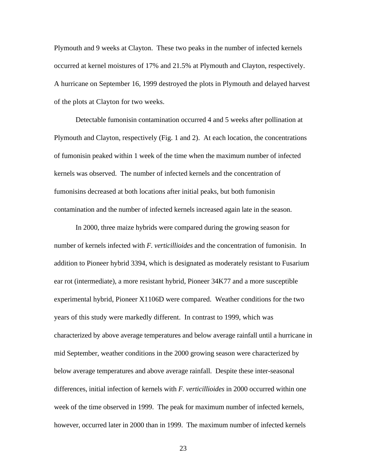Plymouth and 9 weeks at Clayton. These two peaks in the number of infected kernels occurred at kernel moistures of 17% and 21.5% at Plymouth and Clayton, respectively. A hurricane on September 16, 1999 destroyed the plots in Plymouth and delayed harvest of the plots at Clayton for two weeks.

Detectable fumonisin contamination occurred 4 and 5 weeks after pollination at Plymouth and Clayton, respectively (Fig. 1 and 2). At each location, the concentrations of fumonisin peaked within 1 week of the time when the maximum number of infected kernels was observed. The number of infected kernels and the concentration of fumonisins decreased at both locations after initial peaks, but both fumonisin contamination and the number of infected kernels increased again late in the season.

In 2000, three maize hybrids were compared during the growing season for number of kernels infected with *F. verticillioides* and the concentration of fumonisin. In addition to Pioneer hybrid 3394, which is designated as moderately resistant to Fusarium ear rot (intermediate), a more resistant hybrid, Pioneer 34K77 and a more susceptible experimental hybrid, Pioneer X1106D were compared. Weather conditions for the two years of this study were markedly different. In contrast to 1999, which was characterized by above average temperatures and below average rainfall until a hurricane in mid September, weather conditions in the 2000 growing season were characterized by below average temperatures and above average rainfall. Despite these inter-seasonal differences, initial infection of kernels with *F. verticillioides* in 2000 occurred within one week of the time observed in 1999. The peak for maximum number of infected kernels, however, occurred later in 2000 than in 1999. The maximum number of infected kernels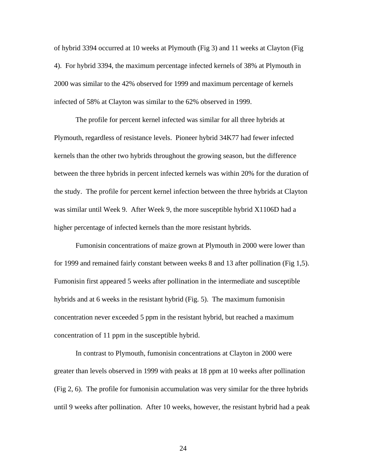of hybrid 3394 occurred at 10 weeks at Plymouth (Fig 3) and 11 weeks at Clayton (Fig 4). For hybrid 3394, the maximum percentage infected kernels of 38% at Plymouth in 2000 was similar to the 42% observed for 1999 and maximum percentage of kernels infected of 58% at Clayton was similar to the 62% observed in 1999.

The profile for percent kernel infected was similar for all three hybrids at Plymouth, regardless of resistance levels. Pioneer hybrid 34K77 had fewer infected kernels than the other two hybrids throughout the growing season, but the difference between the three hybrids in percent infected kernels was within 20% for the duration of the study. The profile for percent kernel infection between the three hybrids at Clayton was similar until Week 9. After Week 9, the more susceptible hybrid X1106D had a higher percentage of infected kernels than the more resistant hybrids.

Fumonisin concentrations of maize grown at Plymouth in 2000 were lower than for 1999 and remained fairly constant between weeks 8 and 13 after pollination (Fig 1,5). Fumonisin first appeared 5 weeks after pollination in the intermediate and susceptible hybrids and at 6 weeks in the resistant hybrid (Fig. 5). The maximum fumonisin concentration never exceeded 5 ppm in the resistant hybrid, but reached a maximum concentration of 11 ppm in the susceptible hybrid.

In contrast to Plymouth, fumonisin concentrations at Clayton in 2000 were greater than levels observed in 1999 with peaks at 18 ppm at 10 weeks after pollination (Fig 2, 6). The profile for fumonisin accumulation was very similar for the three hybrids until 9 weeks after pollination. After 10 weeks, however, the resistant hybrid had a peak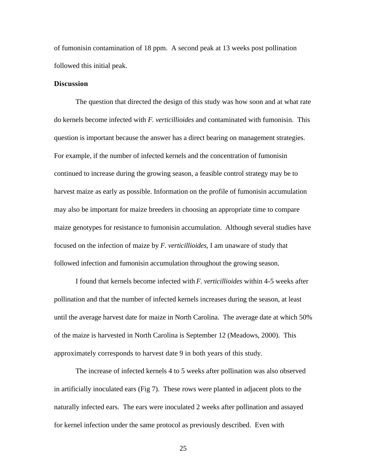of fumonisin contamination of 18 ppm. A second peak at 13 weeks post pollination followed this initial peak.

### **Discussion**

The question that directed the design of this study was how soon and at what rate do kernels become infected with *F. verticillioides* and contaminated with fumonisin. This question is important because the answer has a direct bearing on management strategies. For example, if the number of infected kernels and the concentration of fumonisin continued to increase during the growing season, a feasible control strategy may be to harvest maize as early as possible. Information on the profile of fumonisin accumulation may also be important for maize breeders in choosing an appropriate time to compare maize genotypes for resistance to fumonisin accumulation. Although several studies have focused on the infection of maize by *F. verticillioides*, I am unaware of study that followed infection and fumonisin accumulation throughout the growing season.

I found that kernels become infected with *F. verticillioides* within 4-5 weeks after pollination and that the number of infected kernels increases during the season, at least until the average harvest date for maize in North Carolina. The average date at which 50% of the maize is harvested in North Carolina is September 12 (Meadows, 2000). This approximately corresponds to harvest date 9 in both years of this study.

The increase of infected kernels 4 to 5 weeks after pollination was also observed in artificially inoculated ears (Fig 7). These rows were planted in adjacent plots to the naturally infected ears. The ears were inoculated 2 weeks after pollination and assayed for kernel infection under the same protocol as previously described. Even with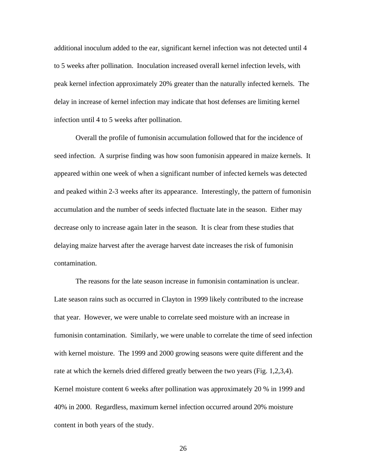additional inoculum added to the ear, significant kernel infection was not detected until 4 to 5 weeks after pollination. Inoculation increased overall kernel infection levels, with peak kernel infection approximately 20% greater than the naturally infected kernels. The delay in increase of kernel infection may indicate that host defenses are limiting kernel infection until 4 to 5 weeks after pollination.

Overall the profile of fumonisin accumulation followed that for the incidence of seed infection. A surprise finding was how soon fumonisin appeared in maize kernels. It appeared within one week of when a significant number of infected kernels was detected and peaked within 2-3 weeks after its appearance. Interestingly, the pattern of fumonisin accumulation and the number of seeds infected fluctuate late in the season. Either may decrease only to increase again later in the season. It is clear from these studies that delaying maize harvest after the average harvest date increases the risk of fumonisin contamination.

The reasons for the late season increase in fumonisin contamination is unclear. Late season rains such as occurred in Clayton in 1999 likely contributed to the increase that year. However, we were unable to correlate seed moisture with an increase in fumonisin contamination. Similarly, we were unable to correlate the time of seed infection with kernel moisture. The 1999 and 2000 growing seasons were quite different and the rate at which the kernels dried differed greatly between the two years (Fig. 1,2,3,4). Kernel moisture content 6 weeks after pollination was approximately 20 % in 1999 and 40% in 2000. Regardless, maximum kernel infection occurred around 20% moisture content in both years of the study.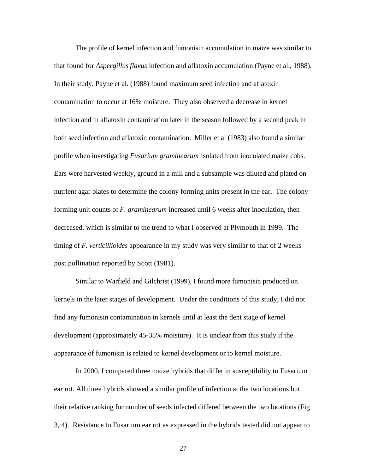The profile of kernel infection and fumonisin accumulation in maize was similar to that found for *Aspergillusflavus* infection and aflatoxin accumulation (Payne et al., 1988). In their study, Payne et al. (1988) found maximum seed infection and aflatoxin contamination to occur at 16% moisture. They also observed a decrease in kernel infection and in aflatoxin contamination later in the season followed by a second peak in both seed infection and aflatoxin contamination. Miller et al (1983) also found a similar profile when investigating *Fusarium graminearum* isolated from inoculated maize cobs. Ears were harvested weekly, ground in a mill and a subsample was diluted and plated on nutrient agar plates to determine the colony forming units present in the ear. The colony forming unit counts of *F. graminearum* increased until 6 weeks after inoculation, then decreased, which is similar to the trend to what I observed at Plymouth in 1999. The timing of *F. verticillioides* appearance in my study was very similar to that of 2 weeks post pollination reported by Scott (1981).

Similar to Warfield and Gilchrist (1999), I found more fumonisin produced on kernels in the later stages of development. Under the conditions of this study, I did not find any fumonisin contamination in kernels until at least the dent stage of kernel development (approximately 45-35% moisture). It is unclear from this study if the appearance of fumonisin is related to kernel development or to kernel moisture.

In 2000, I compared three maize hybrids that differ in susceptibility to Fusarium ear rot. All three hybrids showed a similar profile of infection at the two locations but their relative ranking for number of seeds infected differed between the two locations (Fig 3, 4). Resistance to Fusarium ear rot as expressed in the hybrids tested did not appear to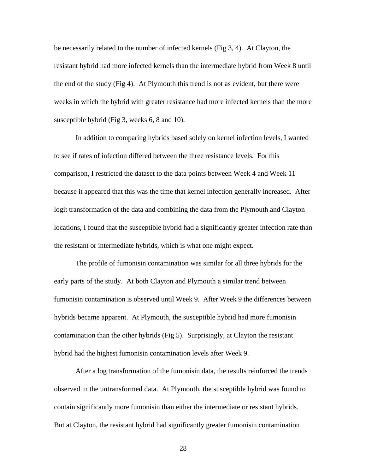be necessarily related to the number of infected kernels (Fig 3, 4). At Clayton, the resistant hybrid had more infected kernels than the intermediate hybrid from Week 8 until the end of the study (Fig 4). At Plymouth this trend is not as evident, but there were weeks in which the hybrid with greater resistance had more infected kernels than the more susceptible hybrid (Fig 3, weeks 6, 8 and 10).

In addition to comparing hybrids based solely on kernel infection levels, I wanted to see if rates of infection differed between the three resistance levels. For this comparison, I restricted the dataset to the data points between Week 4 and Week 11 because it appeared that this was the time that kernel infection generally increased. After logit transformation of the data and combining the data from the Plymouth and Clayton locations, I found that the susceptible hybrid had a significantly greater infection rate than the resistant or intermediate hybrids, which is what one might expect.

The profile of fumonisin contamination was similar for all three hybrids for the early parts of the study. At both Clayton and Plymouth a similar trend between fumonisin contamination is observed until Week 9. After Week 9 the differences between hybrids became apparent. At Plymouth, the susceptible hybrid had more fumonisin contamination than the other hybrids (Fig 5). Surprisingly, at Clayton the resistant hybrid had the highest fumonisin contamination levels after Week 9.

After a log transformation of the fumonisin data, the results reinforced the trends observed in the untransformed data. At Plymouth, the susceptible hybrid was found to contain significantly more fumonisin than either the intermediate or resistant hybrids. But at Clayton, the resistant hybrid had significantly greater fumonisin contamination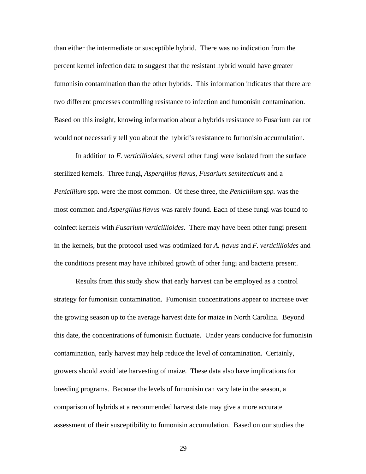than either the intermediate or susceptible hybrid. There was no indication from the percent kernel infection data to suggest that the resistant hybrid would have greater fumonisin contamination than the other hybrids. This information indicates that there are two different processes controlling resistance to infection and fumonisin contamination. Based on this insight, knowing information about a hybrids resistance to Fusarium ear rot would not necessarily tell you about the hybrid's resistance to fumonisin accumulation.

In addition to *F. verticillioides*, several other fungi were isolated from the surface sterilized kernels. Three fungi, *Aspergillus flavus, Fusarium semitecticum* and a *Penicillium* spp. were the most common. Of these three, the *Penicillium spp.* was the most common and *Aspergillusflavus* was rarely found. Each of these fungi was found to coinfect kernels with *Fusarium verticillioides*. There may have been other fungi present in the kernels, but the protocol used was optimized for *A. flavus* and *F. verticillioides* and the conditions present may have inhibited growth of other fungi and bacteria present.

Results from this study show that early harvest can be employed as a control strategy for fumonisin contamination. Fumonisin concentrations appear to increase over the growing season up to the average harvest date for maize in North Carolina. Beyond this date, the concentrations of fumonisin fluctuate. Under years conducive for fumonisin contamination, early harvest may help reduce the level of contamination. Certainly, growers should avoid late harvesting of maize. These data also have implications for breeding programs. Because the levels of fumonisin can vary late in the season, a comparison of hybrids at a recommended harvest date may give a more accurate assessment of their susceptibility to fumonisin accumulation. Based on our studies the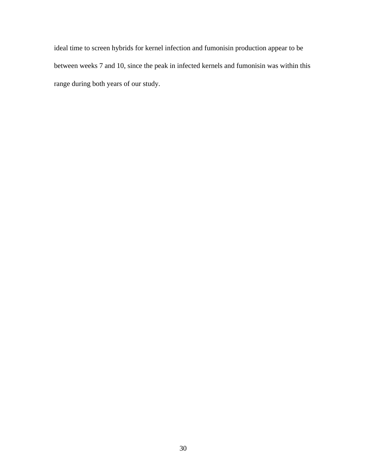ideal time to screen hybrids for kernel infection and fumonisin production appear to be between weeks 7 and 10, since the peak in infected kernels and fumonisin was within this range during both years of our study.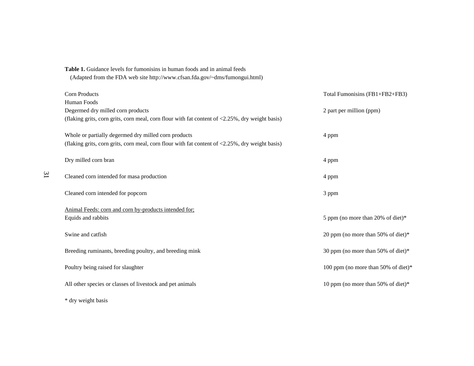| (Adapted from the FDA web site http://www.cfsan.fda.gov/~dms/fumongui.html)                     |                                     |
|-------------------------------------------------------------------------------------------------|-------------------------------------|
| Corn Products                                                                                   | Total Fumonisins (FB1+FB2+FB3)      |
| Human Foods                                                                                     |                                     |
| Degermed dry milled corn products                                                               | 2 part per million (ppm)            |
| (flaking grits, corn grits, corn meal, corn flour with fat content of <2.25%, dry weight basis) |                                     |
| Whole or partially degermed dry milled corn products                                            | 4 ppm                               |
| (flaking grits, corn grits, corn meal, corn flour with fat content of <2.25%, dry weight basis) |                                     |
| Dry milled corn bran                                                                            | 4 ppm                               |
| Cleaned corn intended for masa production                                                       | 4 ppm                               |
| Cleaned corn intended for popcorn                                                               | 3 ppm                               |
| Animal Feeds: corn and corn by-products intended for;                                           |                                     |
| Equids and rabbits                                                                              | 5 ppm (no more than 20% of diet)*   |
| Swine and catfish                                                                               | 20 ppm (no more than 50% of diet)*  |
| Breeding ruminants, breeding poultry, and breeding mink                                         | 30 ppm (no more than 50% of diet)*  |
| Poultry being raised for slaughter                                                              | 100 ppm (no more than 50% of diet)* |
| All other species or classes of livestock and pet animals                                       | 10 ppm (no more than 50% of diet)*  |
| * dry weight basis                                                                              |                                     |

**Table 1.** Guidance levels for fumonisins in human foods and in animal feeds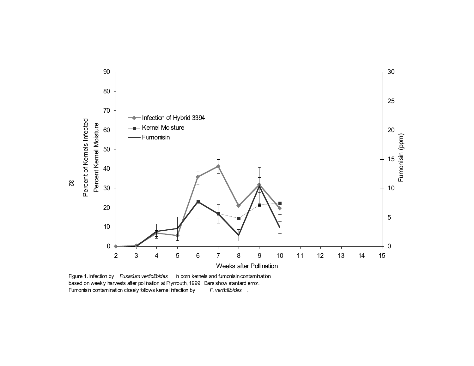

Figure 1. Infection by *Fusarium verticilibides* in corn kernels and fumonisin contamination based on weekly harvests after pollination at Plymouth, 1999. Bars show stantard error. Fumonisin contamination closely folbws kernel infection by F. verticillioides .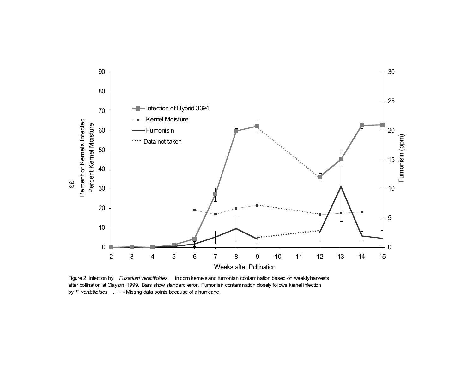

Figure 2. Infection by *Fusarium verticilioides* in corn kernels and fumonisin contamination based on weekly harvests after pollination at Clayton, 1999. Bars show standard error. Fumonisin contamination closely follows kernel infection by *F. verticilibides* . ··· - Missing data points because of a hurricane.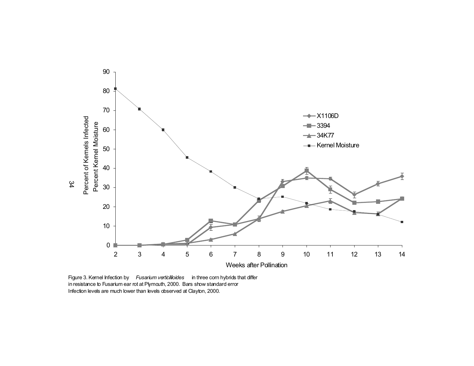

Figure 3. Kernel Infection by *Fusarium verticillioides* in three corn hybrids that differ in resistance to Fusarium ear rot at Plymouth, 2000. Bars show standard error Infection levels are much lower than levels observed at Clayton, 2000.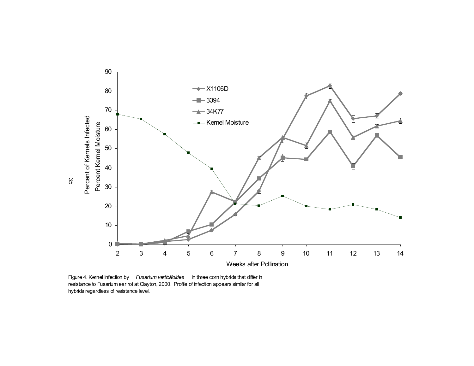

Figure 4. Kernel Infection by *Fusarium verticillioides* in three corn hybrids that differ in resistance to Fusarium ear rot at Clayton, 2000. Profile of infection appears similar for all hybrids regardless of resistance level.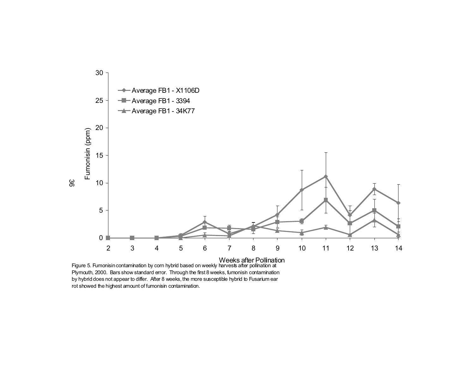

Plymouth, 2000. Bars show standard error. Through the first 8 weeks, fumonisin contamination by hybrid does not appear to differ. After 8 weeks, the more susceptible hybrid to Fusarium ear rot showed the highest amount of fumonisin contamination.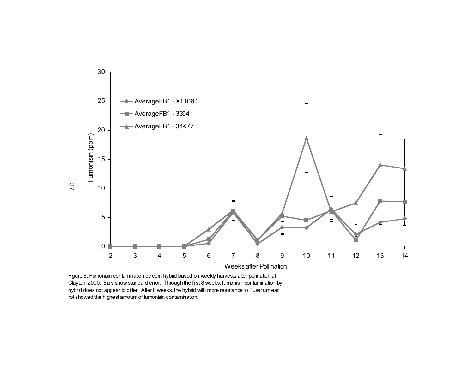

Figure 6. Fumonisin contamination by com hybrid based on weekly harvests after polination at Clayton, 2000. Bars show standard error. Through the first 8 weeks, fumonisin contamination by hybrid does not appear to differ. After 8 weeks, the hybrid with more resistance to Fusarium ear rot showed the highest amount of fumonisin contamination.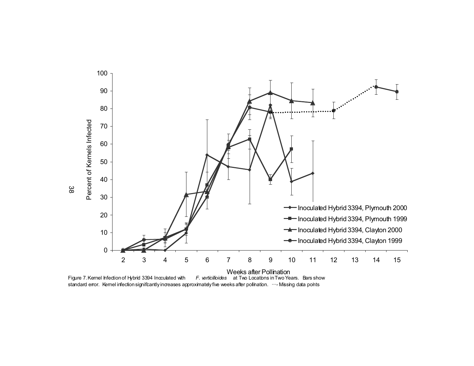

Figure 7. Kernel Infection of Hybrid 3394 Inoculated with *F. verticilioides* at Two Locations in Two Years. Bars show standard error. Kernel infection significantly increases approximately five weeks after polination.  $\cdots$ -Missing data points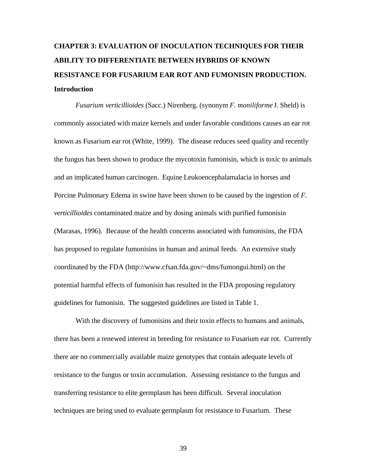## **CHAPTER 3: EVALUATION OF INOCULATION TECHNIQUES FOR THEIR ABILITY TO DIFFERENTIATE BETWEEN HYBRIDS OF KNOWN RESISTANCE FOR FUSARIUM EAR ROT AND FUMONISIN PRODUCTION. Introduction**

*Fusarium verticillioides* (Sacc.) Nirenberg. (synonym *F. moniliforme* J. Sheld) is commonly associated with maize kernels and under favorable conditions causes an ear rot known as Fusarium ear rot (White, 1999). The disease reduces seed quality and recently the fungus has been shown to produce the mycotoxin fumonisin, which is toxic to animals and an implicated human carcinogen. Equine Leukoencephalamalacia in horses and Porcine Pulmonary Edema in swine have been shown to be caused by the ingestion of *F. verticillioides* contaminated maize and by dosing animals with purified fumonisin (Marasas, 1996). Because of the health concerns associated with fumonisins, the FDA has proposed to regulate fumonisins in human and animal feeds. An extensive study coordinated by the FDA (http://www.cfsan.fda.gov/~dms/fumongui.html) on the potential harmful effects of fumonisin has resulted in the FDA proposing regulatory guidelines for fumonisin. The suggested guidelines are listed in Table 1.

With the discovery of fumonisins and their toxin effects to humans and animals, there has been a renewed interest in breeding for resistance to Fusarium ear rot. Currently there are no commercially available maize genotypes that contain adequate levels of resistance to the fungus or toxin accumulation. Assessing resistance to the fungus and transferring resistance to elite germplasm has been difficult. Several inoculation techniques are being used to evaluate germplasm for resistance to Fusarium. These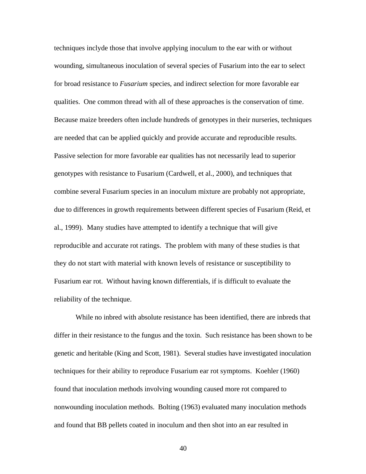techniques inclyde those that involve applying inoculum to the ear with or without wounding, simultaneous inoculation of several species of Fusarium into the ear to select for broad resistance to *Fusarium* species, and indirect selection for more favorable ear qualities. One common thread with all of these approaches is the conservation of time. Because maize breeders often include hundreds of genotypes in their nurseries, techniques are needed that can be applied quickly and provide accurate and reproducible results. Passive selection for more favorable ear qualities has not necessarily lead to superior genotypes with resistance to Fusarium (Cardwell, et al., 2000), and techniques that combine several Fusarium species in an inoculum mixture are probably not appropriate, due to differences in growth requirements between different species of Fusarium (Reid, et al., 1999). Many studies have attempted to identify a technique that will give reproducible and accurate rot ratings. The problem with many of these studies is that they do not start with material with known levels of resistance or susceptibility to Fusarium ear rot. Without having known differentials, if is difficult to evaluate the reliability of the technique.

While no inbred with absolute resistance has been identified, there are inbreds that differ in their resistance to the fungus and the toxin. Such resistance has been shown to be genetic and heritable (King and Scott, 1981). Several studies have investigated inoculation techniques for their ability to reproduce Fusarium ear rot symptoms. Koehler (1960) found that inoculation methods involving wounding caused more rot compared to nonwounding inoculation methods. Bolting (1963) evaluated many inoculation methods and found that BB pellets coated in inoculum and then shot into an ear resulted in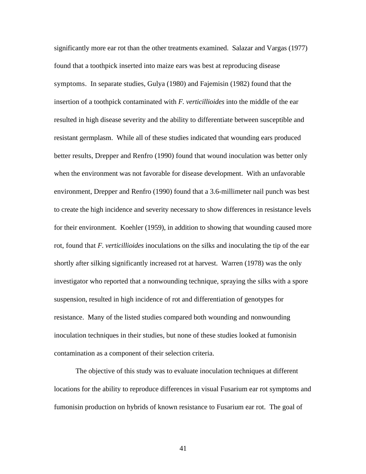significantly more ear rot than the other treatments examined. Salazar and Vargas (1977) found that a toothpick inserted into maize ears was best at reproducing disease symptoms. In separate studies, Gulya (1980) and Fajemisin (1982) found that the insertion of a toothpick contaminated with *F. verticillioides* into the middle of the ear resulted in high disease severity and the ability to differentiate between susceptible and resistant germplasm. While all of these studies indicated that wounding ears produced better results, Drepper and Renfro (1990) found that wound inoculation was better only when the environment was not favorable for disease development. With an unfavorable environment, Drepper and Renfro (1990) found that a 3.6-millimeter nail punch was best to create the high incidence and severity necessary to show differences in resistance levels for their environment. Koehler (1959), in addition to showing that wounding caused more rot, found that *F. verticillioides* inoculations on the silks and inoculating the tip of the ear shortly after silking significantly increased rot at harvest. Warren (1978) was the only investigator who reported that a nonwounding technique, spraying the silks with a spore suspension, resulted in high incidence of rot and differentiation of genotypes for resistance. Many of the listed studies compared both wounding and nonwounding inoculation techniques in their studies, but none of these studies looked at fumonisin contamination as a component of their selection criteria.

The objective of this study was to evaluate inoculation techniques at different locations for the ability to reproduce differences in visual Fusarium ear rot symptoms and fumonisin production on hybrids of known resistance to Fusarium ear rot. The goal of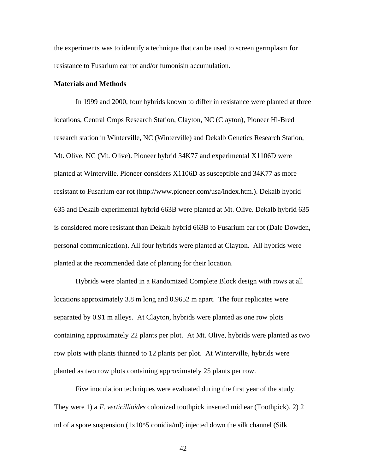the experiments was to identify a technique that can be used to screen germplasm for resistance to Fusarium ear rot and/or fumonisin accumulation.

## **Materials and Methods**

In 1999 and 2000, four hybrids known to differ in resistance were planted at three locations, Central Crops Research Station, Clayton, NC (Clayton), Pioneer Hi-Bred research station in Winterville, NC (Winterville) and Dekalb Genetics Research Station, Mt. Olive, NC (Mt. Olive). Pioneer hybrid 34K77 and experimental X1106D were planted at Winterville. Pioneer considers X1106D as susceptible and 34K77 as more resistant to Fusarium ear rot (http://www.pioneer.com/usa/index.htm.). Dekalb hybrid 635 and Dekalb experimental hybrid 663B were planted at Mt. Olive. Dekalb hybrid 635 is considered more resistant than Dekalb hybrid 663B to Fusarium ear rot (Dale Dowden, personal communication). All four hybrids were planted at Clayton. All hybrids were planted at the recommended date of planting for their location.

Hybrids were planted in a Randomized Complete Block design with rows at all locations approximately 3.8 m long and 0.9652 m apart. The four replicates were separated by 0.91 m alleys. At Clayton, hybrids were planted as one row plots containing approximately 22 plants per plot. At Mt. Olive, hybrids were planted as two row plots with plants thinned to 12 plants per plot. At Winterville, hybrids were planted as two row plots containing approximately 25 plants per row.

Five inoculation techniques were evaluated during the first year of the study. They were 1) a *F. verticillioides* colonized toothpick inserted mid ear (Toothpick), 2) 2 ml of a spore suspension (1x10^5 conidia/ml) injected down the silk channel (Silk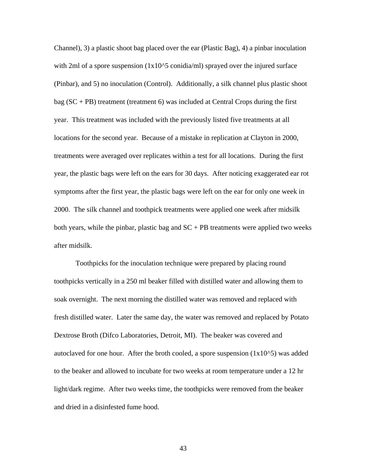Channel), 3) a plastic shoot bag placed over the ear (Plastic Bag), 4) a pinbar inoculation with 2ml of a spore suspension (1x10^5 conidia/ml) sprayed over the injured surface (Pinbar), and 5) no inoculation (Control). Additionally, a silk channel plus plastic shoot bag  $(SC + PB)$  treatment (treatment 6) was included at Central Crops during the first year. This treatment was included with the previously listed five treatments at all locations for the second year. Because of a mistake in replication at Clayton in 2000, treatments were averaged over replicates within a test for all locations. During the first year, the plastic bags were left on the ears for 30 days. After noticing exaggerated ear rot symptoms after the first year, the plastic bags were left on the ear for only one week in 2000. The silk channel and toothpick treatments were applied one week after midsilk both years, while the pinbar, plastic bag and  $SC + PB$  treatments were applied two weeks after midsilk.

Toothpicks for the inoculation technique were prepared by placing round toothpicks vertically in a 250 ml beaker filled with distilled water and allowing them to soak overnight. The next morning the distilled water was removed and replaced with fresh distilled water. Later the same day, the water was removed and replaced by Potato Dextrose Broth (Difco Laboratories, Detroit, MI). The beaker was covered and autoclaved for one hour. After the broth cooled, a spore suspension  $(1x10^x)$  was added to the beaker and allowed to incubate for two weeks at room temperature under a 12 hr light/dark regime. After two weeks time, the toothpicks were removed from the beaker and dried in a disinfested fume hood.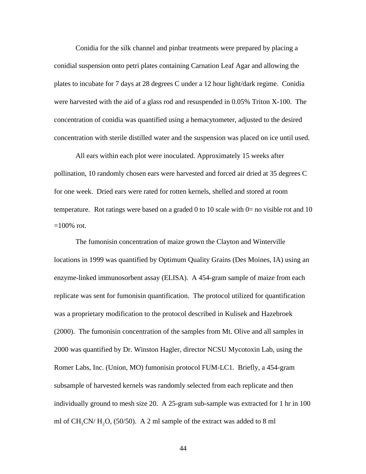Conidia for the silk channel and pinbar treatments were prepared by placing a conidial suspension onto petri plates containing Carnation Leaf Agar and allowing the plates to incubate for 7 days at 28 degrees C under a 12 hour light/dark regime. Conidia were harvested with the aid of a glass rod and resuspended in 0.05% Triton X-100. The concentration of conidia was quantified using a hemacytometer, adjusted to the desired concentration with sterile distilled water and the suspension was placed on ice until used.

All ears within each plot were inoculated. Approximately 15 weeks after pollination, 10 randomly chosen ears were harvested and forced air dried at 35 degrees C for one week. Dried ears were rated for rotten kernels, shelled and stored at room temperature. Rot ratings were based on a graded 0 to 10 scale with  $0=$  no visible rot and 10  $=100\%$  rot.

The fumonisin concentration of maize grown the Clayton and Winterville locations in 1999 was quantified by Optimum Quality Grains (Des Moines, IA) using an enzyme-linked immunosorbent assay (ELISA). A 454-gram sample of maize from each replicate was sent for fumonisin quantification. The protocol utilized for quantification was a proprietary modification to the protocol described in Kulisek and Hazebroek (2000). The fumonisin concentration of the samples from Mt. Olive and all samples in 2000 was quantified by Dr. Winston Hagler, director NCSU Mycotoxin Lab, using the Romer Labs, Inc. (Union, MO) fumonisin protocol FUM-LC1. Briefly, a 454-gram subsample of harvested kernels was randomly selected from each replicate and then individually ground to mesh size 20. A 25-gram sub-sample was extracted for 1 hr in 100 ml of  $CH_3CN/H_2O$ , (50/50). A 2 ml sample of the extract was added to 8 ml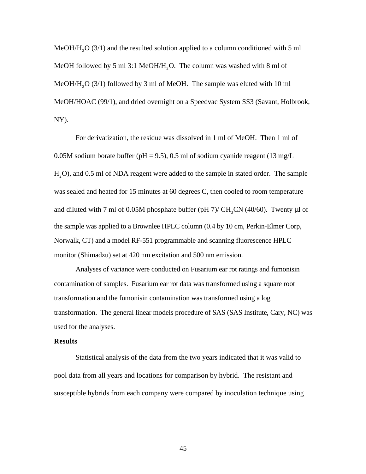MeOH/H<sub>2</sub>O (3/1) and the resulted solution applied to a column conditioned with 5 ml MeOH followed by 5 ml 3:1 MeOH/H<sub>2</sub>O. The column was washed with 8 ml of MeOH/H<sub>2</sub>O (3/1) followed by 3 ml of MeOH. The sample was eluted with 10 ml MeOH/HOAC (99/1), and dried overnight on a Speedvac System SS3 (Savant, Holbrook, NY).

For derivatization, the residue was dissolved in 1 ml of MeOH. Then 1 ml of 0.05M sodium borate buffer ( $pH = 9.5$ ), 0.5 ml of sodium cyanide reagent (13 mg/L) H2O), and 0.5 ml of NDA reagent were added to the sample in stated order. The sample was sealed and heated for 15 minutes at 60 degrees C, then cooled to room temperature and diluted with 7 ml of 0.05M phosphate buffer (pH 7)/  $CH_3CN$  (40/60). Twenty  $\mu$ l of the sample was applied to a Brownlee HPLC column (0.4 by 10 cm, Perkin-Elmer Corp, Norwalk, CT) and a model RF-551 programmable and scanning fluorescence HPLC monitor (Shimadzu) set at 420 nm excitation and 500 nm emission.

Analyses of variance were conducted on Fusarium ear rot ratings and fumonisin contamination of samples. Fusarium ear rot data was transformed using a square root transformation and the fumonisin contamination was transformed using a log transformation. The general linear models procedure of SAS (SAS Institute, Cary, NC) was used for the analyses.

## **Results**

Statistical analysis of the data from the two years indicated that it was valid to pool data from all years and locations for comparison by hybrid. The resistant and susceptible hybrids from each company were compared by inoculation technique using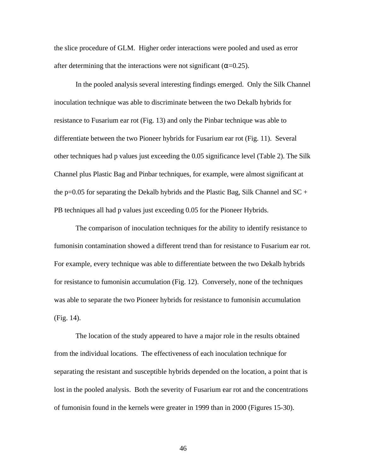the slice procedure of GLM. Higher order interactions were pooled and used as error after determining that the interactions were not significant  $($  =0.25).

In the pooled analysis several interesting findings emerged. Only the Silk Channel inoculation technique was able to discriminate between the two Dekalb hybrids for resistance to Fusarium ear rot (Fig. 13) and only the Pinbar technique was able to differentiate between the two Pioneer hybrids for Fusarium ear rot (Fig. 11). Several other techniques had p values just exceeding the 0.05 significance level (Table 2). The Silk Channel plus Plastic Bag and Pinbar techniques, for example, were almost significant at the p=0.05 for separating the Dekalb hybrids and the Plastic Bag, Silk Channel and  $SC +$ PB techniques all had p values just exceeding 0.05 for the Pioneer Hybrids.

The comparison of inoculation techniques for the ability to identify resistance to fumonisin contamination showed a different trend than for resistance to Fusarium ear rot. For example, every technique was able to differentiate between the two Dekalb hybrids for resistance to fumonisin accumulation (Fig. 12). Conversely, none of the techniques was able to separate the two Pioneer hybrids for resistance to fumonisin accumulation (Fig. 14).

The location of the study appeared to have a major role in the results obtained from the individual locations. The effectiveness of each inoculation technique for separating the resistant and susceptible hybrids depended on the location, a point that is lost in the pooled analysis. Both the severity of Fusarium ear rot and the concentrations of fumonisin found in the kernels were greater in 1999 than in 2000 (Figures 15-30).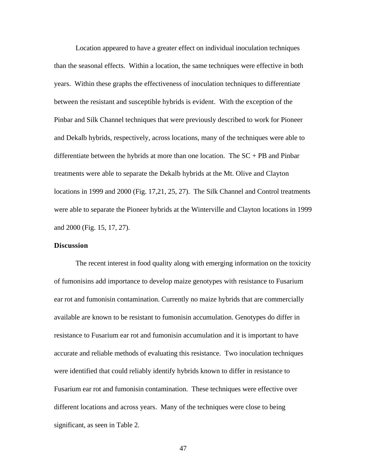Location appeared to have a greater effect on individual inoculation techniques than the seasonal effects. Within a location, the same techniques were effective in both years. Within these graphs the effectiveness of inoculation techniques to differentiate between the resistant and susceptible hybrids is evident. With the exception of the Pinbar and Silk Channel techniques that were previously described to work for Pioneer and Dekalb hybrids, respectively, across locations, many of the techniques were able to differentiate between the hybrids at more than one location. The  $SC + PB$  and Pinbar treatments were able to separate the Dekalb hybrids at the Mt. Olive and Clayton locations in 1999 and 2000 (Fig. 17,21, 25, 27). The Silk Channel and Control treatments were able to separate the Pioneer hybrids at the Winterville and Clayton locations in 1999 and 2000 (Fig. 15, 17, 27).

## **Discussion**

The recent interest in food quality along with emerging information on the toxicity of fumonisins add importance to develop maize genotypes with resistance to Fusarium ear rot and fumonisin contamination. Currently no maize hybrids that are commercially available are known to be resistant to fumonisin accumulation. Genotypes do differ in resistance to Fusarium ear rot and fumonisin accumulation and it is important to have accurate and reliable methods of evaluating this resistance. Two inoculation techniques were identified that could reliably identify hybrids known to differ in resistance to Fusarium ear rot and fumonisin contamination. These techniques were effective over different locations and across years. Many of the techniques were close to being significant, as seen in Table 2.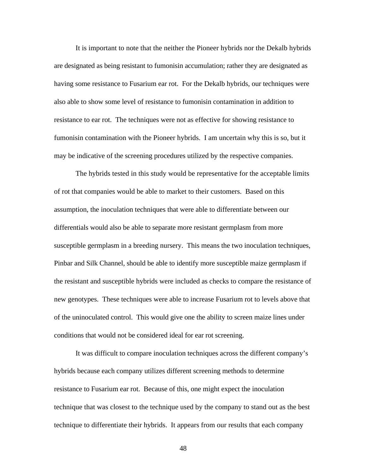It is important to note that the neither the Pioneer hybrids nor the Dekalb hybrids are designated as being resistant to fumonisin accumulation; rather they are designated as having some resistance to Fusarium ear rot. For the Dekalb hybrids, our techniques were also able to show some level of resistance to fumonisin contamination in addition to resistance to ear rot. The techniques were not as effective for showing resistance to fumonisin contamination with the Pioneer hybrids. I am uncertain why this is so, but it may be indicative of the screening procedures utilized by the respective companies.

The hybrids tested in this study would be representative for the acceptable limits of rot that companies would be able to market to their customers. Based on this assumption, the inoculation techniques that were able to differentiate between our differentials would also be able to separate more resistant germplasm from more susceptible germplasm in a breeding nursery. This means the two inoculation techniques, Pinbar and Silk Channel, should be able to identify more susceptible maize germplasm if the resistant and susceptible hybrids were included as checks to compare the resistance of new genotypes. These techniques were able to increase Fusarium rot to levels above that of the uninoculated control. This would give one the ability to screen maize lines under conditions that would not be considered ideal for ear rot screening.

It was difficult to compare inoculation techniques across the different company's hybrids because each company utilizes different screening methods to determine resistance to Fusarium ear rot. Because of this, one might expect the inoculation technique that was closest to the technique used by the company to stand out as the best technique to differentiate their hybrids. It appears from our results that each company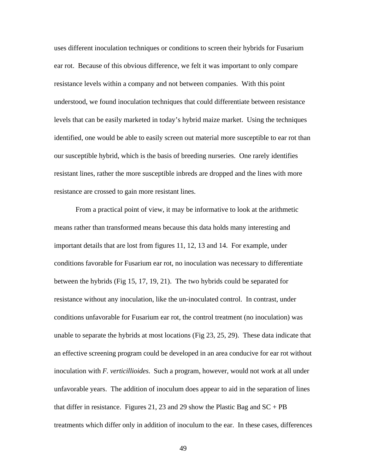uses different inoculation techniques or conditions to screen their hybrids for Fusarium ear rot. Because of this obvious difference, we felt it was important to only compare resistance levels within a company and not between companies. With this point understood, we found inoculation techniques that could differentiate between resistance levels that can be easily marketed in today's hybrid maize market. Using the techniques identified, one would be able to easily screen out material more susceptible to ear rot than our susceptible hybrid, which is the basis of breeding nurseries. One rarely identifies resistant lines, rather the more susceptible inbreds are dropped and the lines with more resistance are crossed to gain more resistant lines.

From a practical point of view, it may be informative to look at the arithmetic means rather than transformed means because this data holds many interesting and important details that are lost from figures 11, 12, 13 and 14. For example, under conditions favorable for Fusarium ear rot, no inoculation was necessary to differentiate between the hybrids (Fig 15, 17, 19, 21). The two hybrids could be separated for resistance without any inoculation, like the un-inoculated control. In contrast, under conditions unfavorable for Fusarium ear rot, the control treatment (no inoculation) was unable to separate the hybrids at most locations (Fig 23, 25, 29). These data indicate that an effective screening program could be developed in an area conducive for ear rot without inoculation with *F. verticillioides*. Such a program, however, would not work at all under unfavorable years. The addition of inoculum does appear to aid in the separation of lines that differ in resistance. Figures 21, 23 and 29 show the Plastic Bag and  $SC + PB$ treatments which differ only in addition of inoculum to the ear. In these cases, differences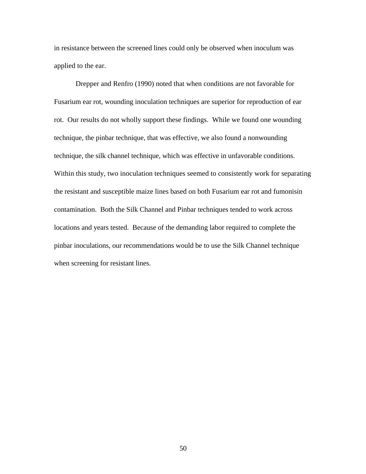in resistance between the screened lines could only be observed when inoculum was applied to the ear.

Drepper and Renfro (1990) noted that when conditions are not favorable for Fusarium ear rot, wounding inoculation techniques are superior for reproduction of ear rot. Our results do not wholly support these findings. While we found one wounding technique, the pinbar technique, that was effective, we also found a nonwounding technique, the silk channel technique, which was effective in unfavorable conditions. Within this study, two inoculation techniques seemed to consistently work for separating the resistant and susceptible maize lines based on both Fusarium ear rot and fumonisin contamination. Both the Silk Channel and Pinbar techniques tended to work across locations and years tested. Because of the demanding labor required to complete the pinbar inoculations, our recommendations would be to use the Silk Channel technique when screening for resistant lines.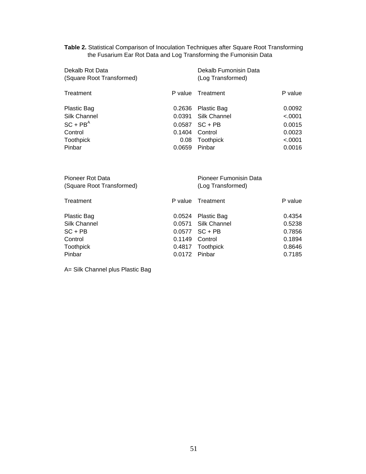**Table 2.** Statistical Comparison of Inoculation Techniques after Square Root Transforming the Fusarium Ear Rot Data and Log Transforming the Fumonisin Data

| Dekalb Rot Data<br>(Square Root Transformed) |          | Dekalb Fumonisin Data<br>(Log Transformed) |         |
|----------------------------------------------|----------|--------------------------------------------|---------|
|                                              |          |                                            |         |
| Treatment                                    | P value. | Treatment                                  | P value |
| Plastic Bag                                  | 0.2636   | Plastic Bag                                | 0.0092  |
| Silk Channel                                 | 0.0391   | Silk Channel                               | < 0.001 |
| $SC + PBA$                                   | 0.0587   | $SC + PB$                                  | 0.0015  |
| Control                                      | 0.1404   | Control                                    | 0.0023  |
| <b>Toothpick</b>                             | 0.08     | <b>Toothpick</b>                           | < .0001 |
| Pinbar                                       | 0.0659   | Pinbar                                     | 0.0016  |

| Pioneer Rot Data          |               | Pioneer Fumonisin Data |         |
|---------------------------|---------------|------------------------|---------|
| (Square Root Transformed) |               | (Log Transformed)      |         |
| Treatment                 |               | P value Treatment      | P value |
| Plastic Bag               |               | 0.0524 Plastic Bag     | 0.4354  |
| Silk Channel              |               | 0.0571 Silk Channel    | 0.5238  |
| SC + PB                   |               | $0.0577$ SC + PB       | 0.7856  |
| Control                   | 0.1149        | Control                | 0.1894  |
| Toothpick                 |               | 0.4817 Toothpick       | 0.8646  |
| Pinbar                    | 0.0172 Pinbar |                        | 0.7185  |

A= Silk Channel plus Plastic Bag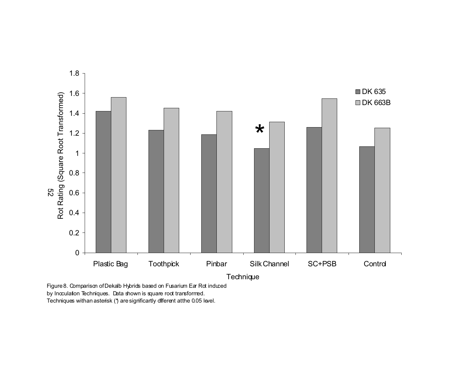

Figure 8. Comparison of Dekalb Hybrids based on Fusarium Ear Rot induced by Incculation Techniques. Data shown is square root transformed. Techniques with an asterisk (\*) are significantly different at the 0.05 level.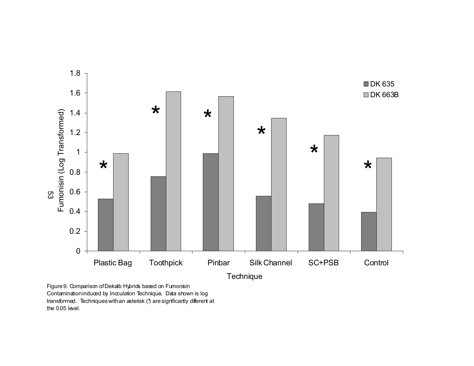

Figure 9. Comparison of Dekalb Hybrids based on Fumonisin Contamination induced by Incculation Technique. Data shown is log transformed. Techniques with an asterisk (\*) are significantly diferent at the 0.05 level.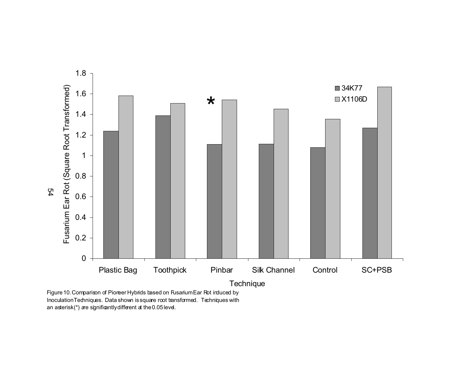

Inoculation Techniques. Data shown is square root transformed. Techniques with an asterisk(\*) are significantly different at the 0.05 level.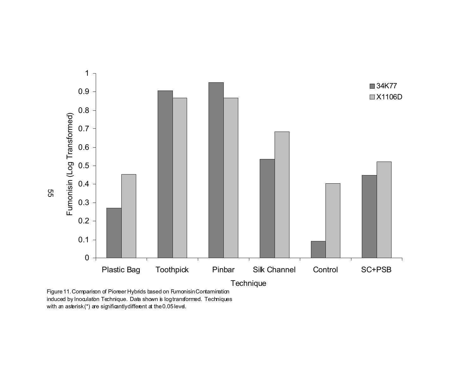

Figure 11. Comparison of Pioreer Hybrids based on Fumonisin Contamination induced by Inoculation Technique. Data shown is log transformed. Techniques with an asterisk(\*) are significantly different at the  $0.05$  level.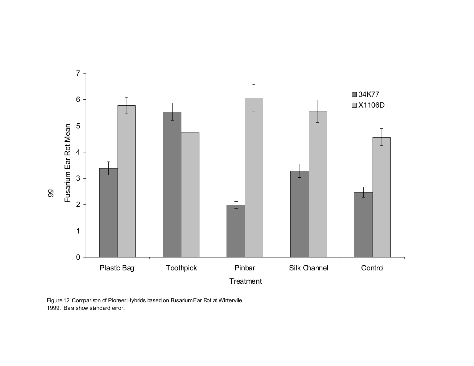

Figure 12. Comparison of Pioneer Hybrids based on Fusarium Ear Rot at Wintervile, 1999. Bars show standard error.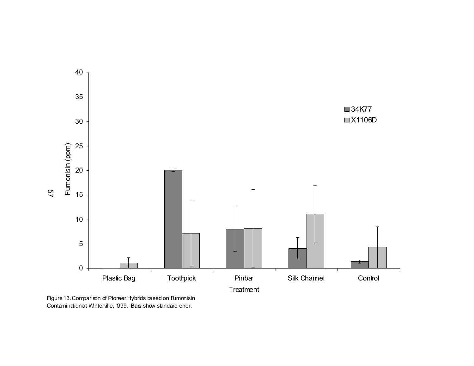

Figure 13. Comparison of Pioneer Hybrids based on Fumonisin Contamination at Winterville, 1999. Bars show standard error.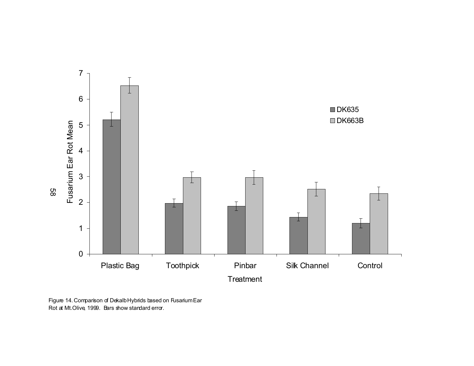

Figure 14. Comparison of Dekalb Hybrids based on Fusarium Ear Rot at Mt. Olive, 1999. Bars show standard error.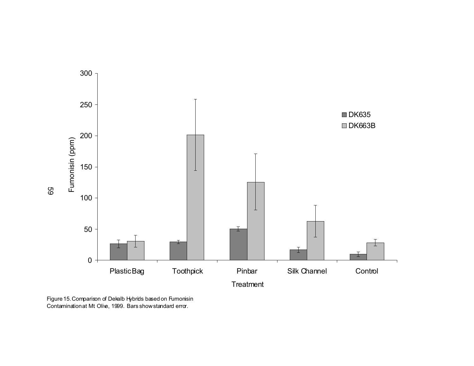

Figure 15. Comparison of Dekalb Hybrids based on Fumonisin Contamination at Mt. Olive, 1999. Bars show standard error.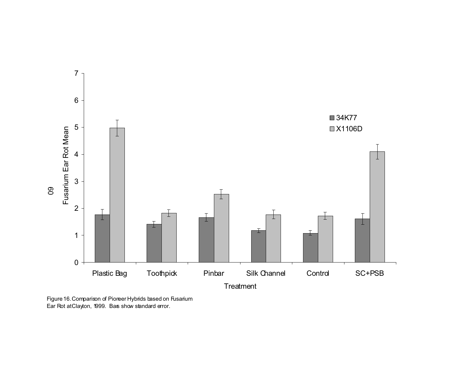

Figure 16. Comparison of Pioneer Hybrids based on Fusarium Ear Rot at Clayton, 1999. Bas show standard error.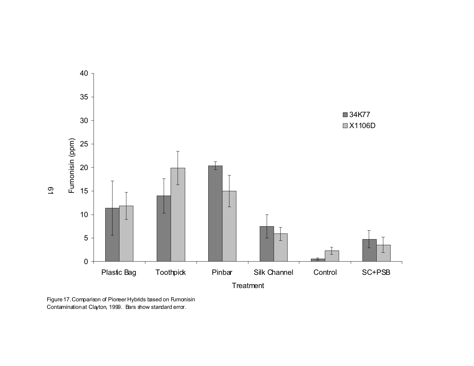

Figure 17. Comparison of Pioneer Hybrids based on Fumonisin Contamination at Clayton, 1999. Bars show standard error.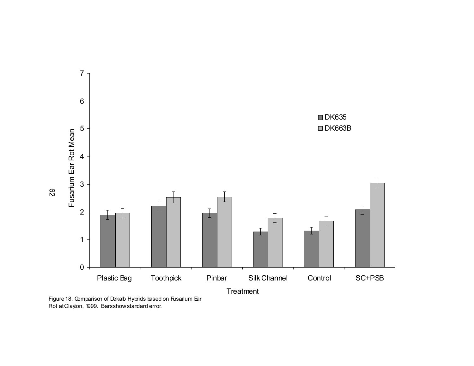

Rot at Clayton, 1999. Bars show standard error.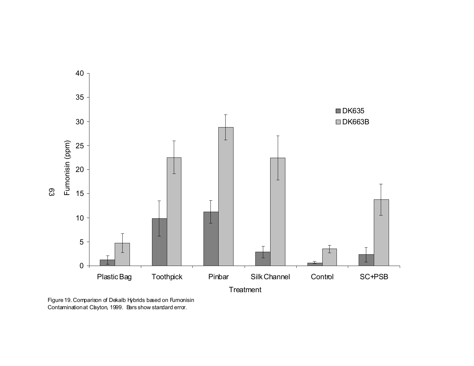

Figure 19. Comparison of Dekalb Hybrids based on Fumonisin Contamination at Chyton, 1999. Bars show standard error.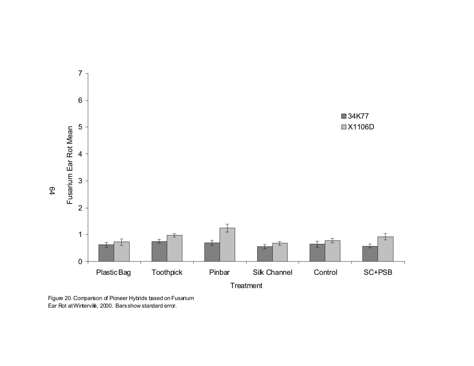

Figure 20. Comparison of Pioneer Hybrids based on Fusarium Ear Rot at Winterville, 2000. Bars show standard error.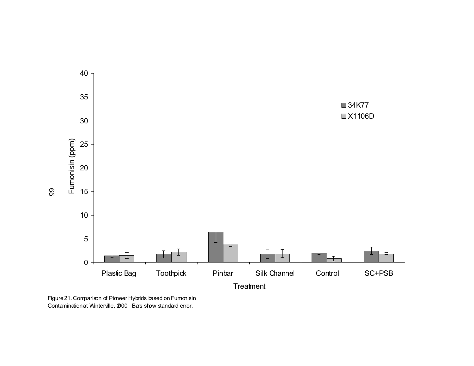

Figure 21. Comparison of Pioneer Hybrids based on Fumonisin Contamination at Winterville, 2000. Bars show standard error.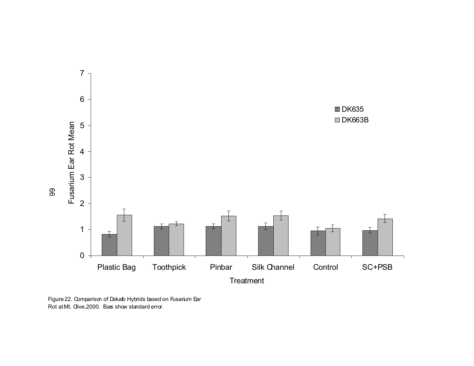

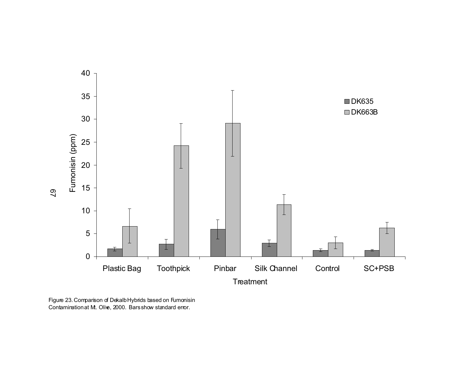

Figure 23. Comparison of Dekalb Hybrids based on Fumonisin Contamination at M. Olive, 2000. Bars show standard error.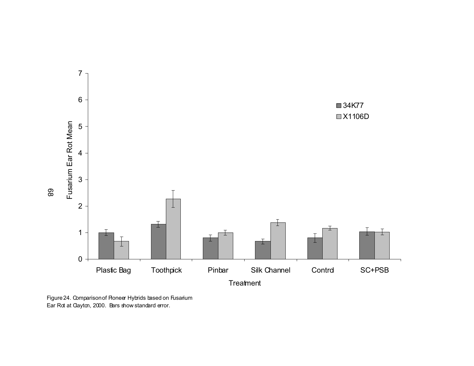

Figure 24. Comparison of Roneer Hybrids based on Fusarium Ear Rot at Clayton, 2000. Bars show standard error.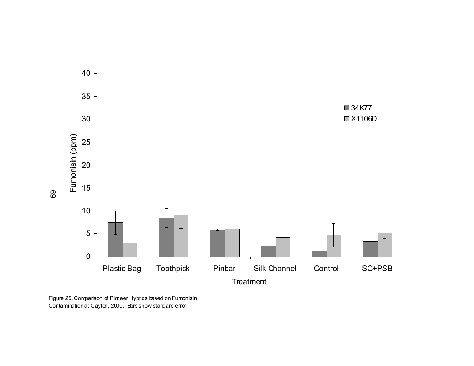

Figure 25. Comparison of Pioneer Hybrids based on Fumonisin Contamination at Clayton, 2000. Bars show standard error.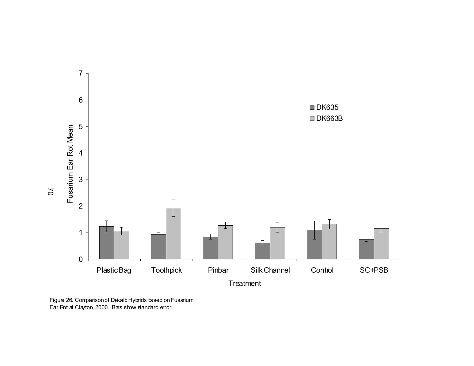

Figure 26. Comparison of Dekalb Hybrids based on Fusarium Ear Rot at Clayton, 2000. Bars show standard error.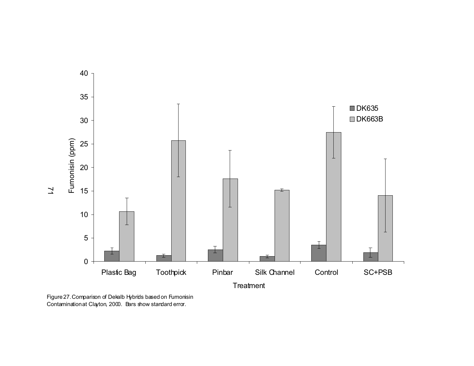

Figure 27. Comparison of Dekalb Hybrids based on Fumonisin Contamination at Clayton, 2000. Bars show standard error.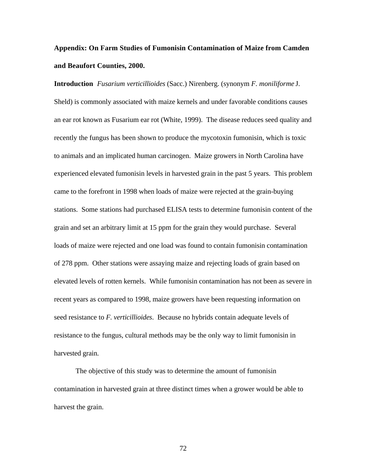## **Appendix: On Farm Studies of Fumonisin Contamination of Maize from Camden and Beaufort Counties, 2000.**

**Introduction** *Fusarium verticillioides* (Sacc.) Nirenberg. (synonym *F. moniliforme* J. Sheld) is commonly associated with maize kernels and under favorable conditions causes an ear rot known as Fusarium ear rot (White, 1999). The disease reduces seed quality and recently the fungus has been shown to produce the mycotoxin fumonisin, which is toxic to animals and an implicated human carcinogen. Maize growers in North Carolina have experienced elevated fumonisin levels in harvested grain in the past 5 years. This problem came to the forefront in 1998 when loads of maize were rejected at the grain-buying stations. Some stations had purchased ELISA tests to determine fumonisin content of the grain and set an arbitrary limit at 15 ppm for the grain they would purchase. Several loads of maize were rejected and one load was found to contain fumonisin contamination of 278 ppm. Other stations were assaying maize and rejecting loads of grain based on elevated levels of rotten kernels. While fumonisin contamination has not been as severe in recent years as compared to 1998, maize growers have been requesting information on seed resistance to *F. verticillioides*. Because no hybrids contain adequate levels of resistance to the fungus, cultural methods may be the only way to limit fumonisin in harvested grain.

The objective of this study was to determine the amount of fumonisin contamination in harvested grain at three distinct times when a grower would be able to harvest the grain.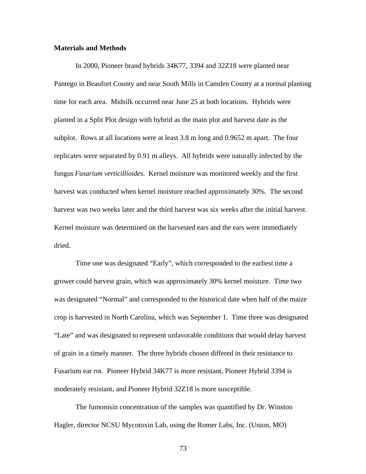## **Materials and Methods**

In 2000, Pioneer brand hybrids 34K77, 3394 and 32Z18 were planted near Pantego in Beaufort County and near South Mills in Camden County at a normal planting time for each area. Midsilk occurred near June 25 at both locations. Hybrids were planted in a Split Plot design with hybrid as the main plot and harvest date as the subplot. Rows at all locations were at least 3.8 m long and 0.9652 m apart. The four replicates were separated by 0.91 m alleys. All hybrids were naturally infected by the fungus *Fusarium verticillioides*. Kernel moisture was monitored weekly and the first harvest was conducted when kernel moisture reached approximately 30%. The second harvest was two weeks later and the third harvest was six weeks after the initial harvest. Kernel moisture was determined on the harvested ears and the ears were immediately dried.

Time one was designated "Early", which corresponded to the earliest time a grower could harvest grain, which was approximately 30% kernel moisture. Time two was designated "Normal" and corresponded to the historical date when half of the maize crop is harvested in North Carolina, which was September 1. Time three was designated "Late" and was designated to represent unfavorable conditions that would delay harvest of grain in a timely manner. The three hybrids chosen differed in their resistance to Fusarium ear rot. Pioneer Hybrid 34K77 is more resistant, Pioneer Hybrid 3394 is moderately resistant, and Pioneer Hybrid 32Z18 is more susceptible.

The fumonisin concentration of the samples was quantified by Dr. Winston Hagler, director NCSU Mycotoxin Lab, using the Romer Labs, Inc. (Union, MO)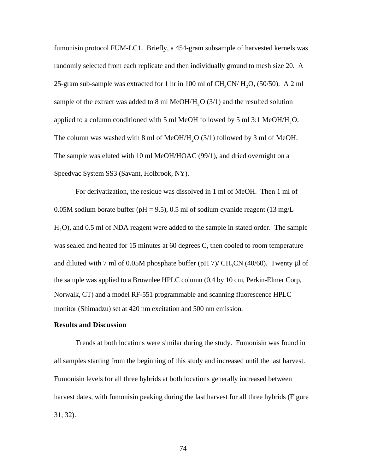fumonisin protocol FUM-LC1. Briefly, a 454-gram subsample of harvested kernels was randomly selected from each replicate and then individually ground to mesh size 20. A 25-gram sub-sample was extracted for 1 hr in 100 ml of  $CH_3CN/H_2O$ , (50/50). A 2 ml sample of the extract was added to 8 ml MeOH/H<sub>2</sub>O (3/1) and the resulted solution applied to a column conditioned with 5 ml MeOH followed by 5 ml 3:1 MeOH/H<sub>2</sub>O. The column was washed with 8 ml of MeOH/H<sub>2</sub>O (3/1) followed by 3 ml of MeOH. The sample was eluted with 10 ml MeOH/HOAC (99/1), and dried overnight on a Speedvac System SS3 (Savant, Holbrook, NY).

For derivatization, the residue was dissolved in 1 ml of MeOH. Then 1 ml of 0.05M sodium borate buffer ( $pH = 9.5$ ), 0.5 ml of sodium cyanide reagent (13 mg/L) H<sub>2</sub>O), and 0.5 ml of NDA reagent were added to the sample in stated order. The sample was sealed and heated for 15 minutes at 60 degrees C, then cooled to room temperature and diluted with 7 ml of 0.05M phosphate buffer (pH 7)/  $CH_3CN$  (40/60). Twenty  $\mu$ l of the sample was applied to a Brownlee HPLC column (0.4 by 10 cm, Perkin-Elmer Corp, Norwalk, CT) and a model RF-551 programmable and scanning fluorescence HPLC monitor (Shimadzu) set at 420 nm excitation and 500 nm emission.

## **Results and Discussion**

Trends at both locations were similar during the study. Fumonisin was found in all samples starting from the beginning of this study and increased until the last harvest. Fumonisin levels for all three hybrids at both locations generally increased between harvest dates, with fumonisin peaking during the last harvest for all three hybrids (Figure 31, 32).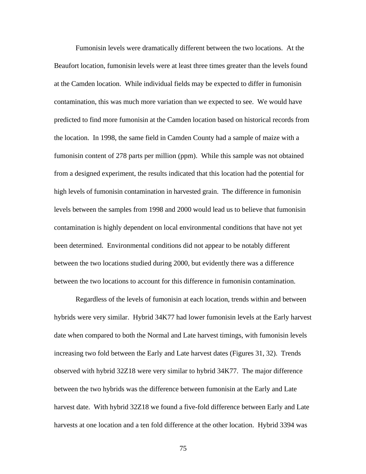Fumonisin levels were dramatically different between the two locations. At the Beaufort location, fumonisin levels were at least three times greater than the levels found at the Camden location. While individual fields may be expected to differ in fumonisin contamination, this was much more variation than we expected to see. We would have predicted to find more fumonisin at the Camden location based on historical records from the location. In 1998, the same field in Camden County had a sample of maize with a fumonisin content of 278 parts per million (ppm). While this sample was not obtained from a designed experiment, the results indicated that this location had the potential for high levels of fumonisin contamination in harvested grain. The difference in fumonisin levels between the samples from 1998 and 2000 would lead us to believe that fumonisin contamination is highly dependent on local environmental conditions that have not yet been determined. Environmental conditions did not appear to be notably different between the two locations studied during 2000, but evidently there was a difference between the two locations to account for this difference in fumonisin contamination.

Regardless of the levels of fumonisin at each location, trends within and between hybrids were very similar. Hybrid 34K77 had lower fumonisin levels at the Early harvest date when compared to both the Normal and Late harvest timings, with fumonisin levels increasing two fold between the Early and Late harvest dates (Figures 31, 32). Trends observed with hybrid 32Z18 were very similar to hybrid 34K77. The major difference between the two hybrids was the difference between fumonisin at the Early and Late harvest date. With hybrid 32Z18 we found a five-fold difference between Early and Late harvests at one location and a ten fold difference at the other location. Hybrid 3394 was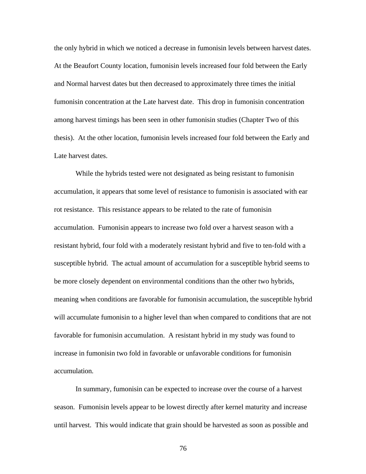the only hybrid in which we noticed a decrease in fumonisin levels between harvest dates. At the Beaufort County location, fumonisin levels increased four fold between the Early and Normal harvest dates but then decreased to approximately three times the initial fumonisin concentration at the Late harvest date. This drop in fumonisin concentration among harvest timings has been seen in other fumonisin studies (Chapter Two of this thesis). At the other location, fumonisin levels increased four fold between the Early and Late harvest dates.

While the hybrids tested were not designated as being resistant to fumonisin accumulation, it appears that some level of resistance to fumonisin is associated with ear rot resistance. This resistance appears to be related to the rate of fumonisin accumulation. Fumonisin appears to increase two fold over a harvest season with a resistant hybrid, four fold with a moderately resistant hybrid and five to ten-fold with a susceptible hybrid. The actual amount of accumulation for a susceptible hybrid seems to be more closely dependent on environmental conditions than the other two hybrids, meaning when conditions are favorable for fumonisin accumulation, the susceptible hybrid will accumulate fumonisin to a higher level than when compared to conditions that are not favorable for fumonisin accumulation. A resistant hybrid in my study was found to increase in fumonisin two fold in favorable or unfavorable conditions for fumonisin accumulation.

In summary, fumonisin can be expected to increase over the course of a harvest season. Fumonisin levels appear to be lowest directly after kernel maturity and increase until harvest. This would indicate that grain should be harvested as soon as possible and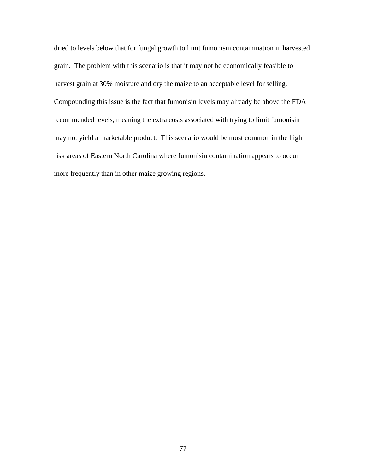dried to levels below that for fungal growth to limit fumonisin contamination in harvested grain. The problem with this scenario is that it may not be economically feasible to harvest grain at 30% moisture and dry the maize to an acceptable level for selling. Compounding this issue is the fact that fumonisin levels may already be above the FDA recommended levels, meaning the extra costs associated with trying to limit fumonisin may not yield a marketable product. This scenario would be most common in the high risk areas of Eastern North Carolina where fumonisin contamination appears to occur more frequently than in other maize growing regions.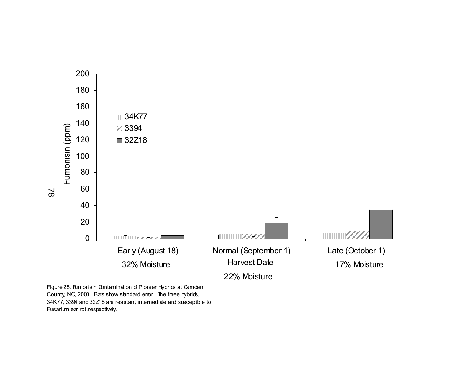

Figure 28. Fumonisin Contamination of Pioneer Hybrids at Camden County, NC, 2000. Bars show standard error. The three hybrids, 34K77, 3394 and 32Z18 are resistant, intermediate and susceptible to Fusarium ear rot, respectively.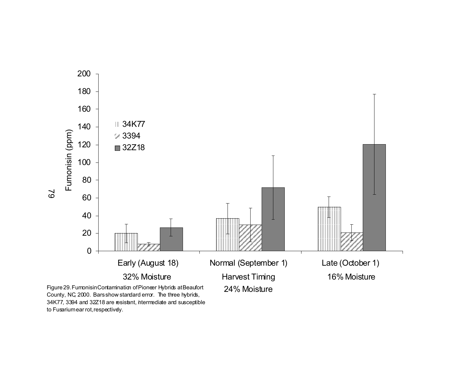

County, NC, 2000. Bars show standard error. The three hybrids, 34K77, 3394 and 32Z18 are resistant, intermediate and susceptible to Fusarium ear rot, respectively.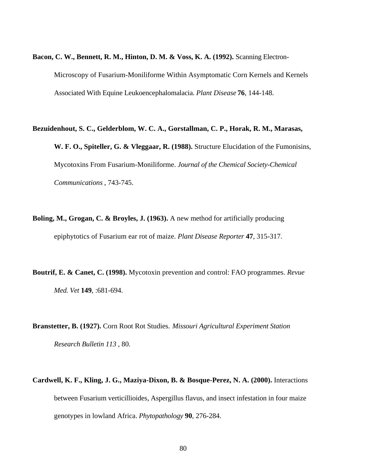- **Bacon, C. W., Bennett, R. M., Hinton, D. M. & Voss, K. A. (1992).** Scanning Electron-Microscopy of Fusarium-Moniliforme Within Asymptomatic Corn Kernels and Kernels Associated With Equine Leukoencephalomalacia. *Plant Disease* **76**, 144-148.
- **Bezuidenhout, S. C., Gelderblom, W. C. A., Gorstallman, C. P., Horak, R. M., Marasas, W. F. O., Spiteller, G. & Vleggaar, R. (1988).** Structure Elucidation of the Fumonisins, Mycotoxins From Fusarium-Moniliforme. *Journal of the Chemical Society-Chemical Communications* , 743-745.
- **Boling, M., Grogan, C. & Broyles, J. (1963).** A new method for artificially producing epiphytotics of Fusarium ear rot of maize. *Plant Disease Reporter* **47**, 315-317.
- **Boutrif, E. & Canet, C. (1998).** Mycotoxin prevention and control: FAO programmes. *Revue Med. Vet* **149**, :681-694.
- **Branstetter, B. (1927).** Corn Root Rot Studies. *Missouri Agricultural Experiment Station Research Bulletin 113* , 80.
- **Cardwell, K. F., Kling, J. G., Maziya-Dixon, B. & Bosque-Perez, N. A. (2000).** Interactions between Fusarium verticillioides, Aspergillus flavus, and insect infestation in four maize genotypes in lowland Africa. *Phytopathology* **90**, 276-284.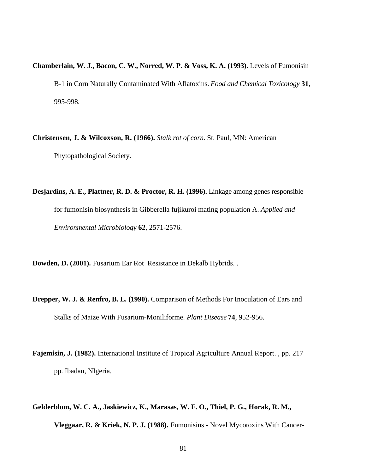- **Chamberlain, W. J., Bacon, C. W., Norred, W. P. & Voss, K. A. (1993).** Levels of Fumonisin B-1 in Corn Naturally Contaminated With Aflatoxins. *Food and Chemical Toxicology* **31**, 995-998.
- **Christensen, J. & Wilcoxson, R. (1966).** *Stalk rot of corn*. St. Paul, MN: American Phytopathological Society.

**Desjardins, A. E., Plattner, R. D. & Proctor, R. H. (1996).** Linkage among genes responsible for fumonisin biosynthesis in Gibberella fujikuroi mating population A. *Applied and Environmental Microbiology* **62**, 2571-2576.

**Dowden, D. (2001).** Fusarium Ear Rot Resistance in Dekalb Hybrids. .

- **Drepper, W. J. & Renfro, B. L. (1990).** Comparison of Methods For Inoculation of Ears and Stalks of Maize With Fusarium-Moniliforme. *Plant Disease* **74**, 952-956.
- **Fajemisin, J. (1982).** International Institute of Tropical Agriculture Annual Report. , pp. 217 pp. Ibadan, NIgeria.
- **Gelderblom, W. C. A., Jaskiewicz, K., Marasas, W. F. O., Thiel, P. G., Horak, R. M., Vleggaar, R. & Kriek, N. P. J. (1988).** Fumonisins - Novel Mycotoxins With Cancer-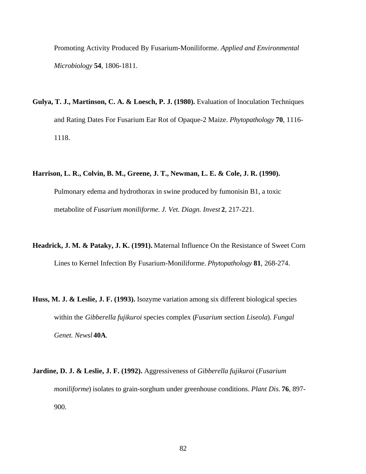Promoting Activity Produced By Fusarium-Moniliforme. *Applied and Environmental Microbiology* **54**, 1806-1811.

**Gulya, T. J., Martinson, C. A. & Loesch, P. J. (1980).** Evaluation of Inoculation Techniques and Rating Dates For Fusarium Ear Rot of Opaque-2 Maize. *Phytopathology* **70**, 1116- 1118.

## **Harrison, L. R., Colvin, B. M., Greene, J. T., Newman, L. E. & Cole, J. R. (1990).**

Pulmonary edema and hydrothorax in swine produced by fumonisin B1, a toxic metabolite of *Fusarium moniliforme*. *J. Vet. Diagn. Invest* **2**, 217-221.

- **Headrick, J. M. & Pataky, J. K. (1991).** Maternal Influence On the Resistance of Sweet Corn Lines to Kernel Infection By Fusarium-Moniliforme. *Phytopathology* **81**, 268-274.
- **Huss, M. J. & Leslie, J. F. (1993).** Isozyme variation among six different biological species within the *Gibberella fujikuroi* species complex (*Fusarium* section *Liseola*). *Fungal Genet. Newsl* **40A**.
- **Jardine, D. J. & Leslie, J. F. (1992).** Aggressiveness of *Gibberella fujikuroi* (*Fusarium moniliforme*) isolates to grain-sorghum under greenhouse conditions. *Plant Dis.* **76**, 897- 900.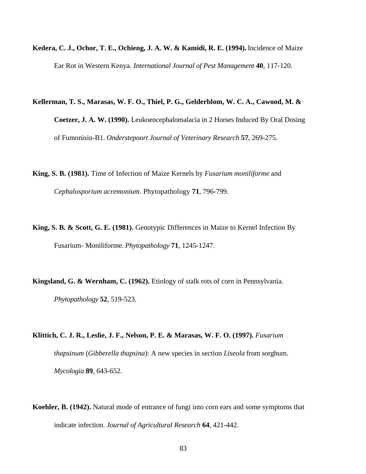**Kedera, C. J., Ochor, T. E., Ochieng, J. A. W. & Kamidi, R. E. (1994).** Incidence of Maize Ear Rot in Western Kenya. *International Journal of Pest Management* **40**, 117-120.

**Kellerman, T. S., Marasas, W. F. O., Thiel, P. G., Gelderblom, W. C. A., Cawood, M. & Coetzer, J. A. W. (1990).** Leukoencephalomalacia in 2 Horses Induced By Oral Dosing of Fumonisin-B1. *Onderstepoort Journal of Veterinary Research* **57**, 269-275.

**King, S. B. (1981).** Time of Infection of Maize Kernels by *Fusarium moniliforme* and *Cephalosporium acremonium*. Phytopathology **71**, 796-799.

**King, S. B. & Scott, G. E. (1981).** Genotypic Differences in Maize to Kernel Infection By Fusarium- Moniliforme. *Phytopathology* **71**, 1245-1247.

**Kingsland, G. & Wernham, C. (1962).** Etiology of stalk rots of corn in Pennsylvania. *Phytopathology* **52**, 519-523.

**Klittich, C. J. R., Leslie, J. F., Nelson, P. E. & Marasas, W. F. O. (1997).** *Fusarium thapsinum* (*Gibberella thapsina*): A new species in section *Liseola* from sorghum. *Mycologia* **89**, 643-652.

**Koehler, B. (1942).** Natural mode of entrance of fungi into corn ears and some symptoms that indicate infection. *Journal of Agricultural Research* **64**, 421-442.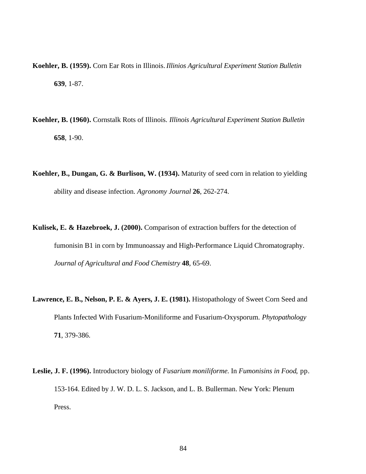- **Koehler, B. (1959).** Corn Ear Rots in Illinois. *Illinios Agricultural Experiment Station Bulletin* **639**, 1-87.
- **Koehler, B. (1960).** Cornstalk Rots of Illinois. *Illinois Agricultural Experiment Station Bulletin* **658**, 1-90.
- **Koehler, B., Dungan, G. & Burlison, W. (1934).** Maturity of seed corn in relation to yielding ability and disease infection. *Agronomy Journal* **26**, 262-274.
- **Kulisek, E. & Hazebroek, J. (2000).** Comparison of extraction buffers for the detection of fumonisin B1 in corn by Immunoassay and High-Performance Liquid Chromatography. *Journal of Agricultural and Food Chemistry* **48**, 65-69.
- Lawrence, E. B., Nelson, P. E. & Ayers, J. E. (1981). Histopathology of Sweet Corn Seed and Plants Infected With Fusarium-Moniliforme and Fusarium-Oxysporum. *Phytopathology* **71**, 379-386.
- **Leslie, J. F. (1996).** Introductory biology of *Fusarium moniliforme*. In *Fumonisins in Food*, pp. 153-164. Edited by J. W. D. L. S. Jackson, and L. B. Bullerman. New York: Plenum Press.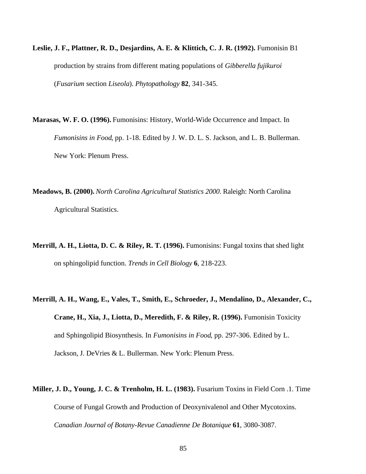- **Leslie, J. F., Plattner, R. D., Desjardins, A. E. & Klittich, C. J. R. (1992).** Fumonisin B1 production by strains from different mating populations of *Gibberella fujikuroi* (*Fusarium* section *Liseola*). *Phytopathology* **82**, 341-345.
- **Marasas, W. F. O. (1996).** Fumonisins: History, World-Wide Occurrence and Impact. In *Fumonisins in Food*, pp. 1-18. Edited by J. W. D. L. S. Jackson, and L. B. Bullerman. New York: Plenum Press.
- **Meadows, B. (2000).** *North Carolina Agricultural Statistics 2000*. Raleigh: North Carolina Agricultural Statistics.
- **Merrill, A. H., Liotta, D. C. & Riley, R. T. (1996).** Fumonisins: Fungal toxins that shed light on sphingolipid function. *Trends in Cell Biology* **6**, 218-223.
- **Merrill, A. H., Wang, E., Vales, T., Smith, E., Schroeder, J., Mendalino, D., Alexander, C., Crane, H., Xia, J., Liotta, D., Meredith, F. & Riley, R. (1996).** Fumonisin Toxicity and Sphingolipid Biosynthesis. In *Fumonisins in Food*, pp. 297-306. Edited by L. Jackson, J. DeVries & L. Bullerman. New York: Plenum Press.
- **Miller, J. D., Young, J. C. & Trenholm, H. L. (1983).** Fusarium Toxins in Field Corn .1. Time Course of Fungal Growth and Production of Deoxynivalenol and Other Mycotoxins. *Canadian Journal of Botany-Revue Canadienne De Botanique* **61**, 3080-3087.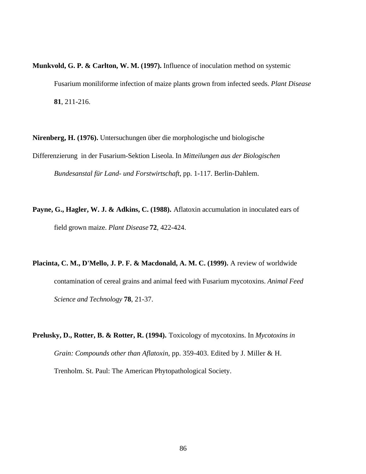**Munkvold, G. P. & Carlton, W. M. (1997).** Influence of inoculation method on systemic Fusarium moniliforme infection of maize plants grown from infected seeds. *Plant Disease* **81**, 211-216.

**Nirenberg, H. (1976).** Untersuchungen über die morphologische und biologische Differenzierung in der Fusarium-Sektion Liseola. In *Mitteilungen aus der Biologischen Bundesanstal für Land- und Forstwirtschaft*, pp. 1-117. Berlin-Dahlem.

**Payne, G., Hagler, W. J. & Adkins, C. (1988).** Aflatoxin accumulation in inoculated ears of field grown maize. *Plant Disease* **72**, 422-424.

**Placinta, C. M., D'Mello, J. P. F. & Macdonald, A. M. C. (1999).** A review of worldwide contamination of cereal grains and animal feed with Fusarium mycotoxins. *Animal Feed Science and Technology* **78**, 21-37.

**Prelusky, D., Rotter, B. & Rotter, R. (1994).** Toxicology of mycotoxins. In *Mycotoxins in Grain: Compounds other than Aflatoxin*, pp. 359-403. Edited by J. Miller & H. Trenholm. St. Paul: The American Phytopathological Society.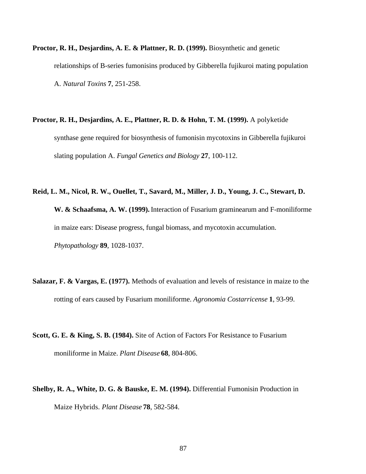- **Proctor, R. H., Desjardins, A. E. & Plattner, R. D. (1999).** Biosynthetic and genetic relationships of B-series fumonisins produced by Gibberella fujikuroi mating population A. *Natural Toxins* **7**, 251-258.
- **Proctor, R. H., Desjardins, A. E., Plattner, R. D. & Hohn, T. M. (1999).** A polyketide synthase gene required for biosynthesis of fumonisin mycotoxins in Gibberella fujikuroi slating population A. *Fungal Genetics and Biology* **27**, 100-112.
- **Reid, L. M., Nicol, R. W., Ouellet, T., Savard, M., Miller, J. D., Young, J. C., Stewart, D. W. & Schaafsma, A. W. (1999).** Interaction of Fusarium graminearum and F-moniliforme in maize ears: Disease progress, fungal biomass, and mycotoxin accumulation. *Phytopathology* **89**, 1028-1037.
- **Salazar, F. & Vargas, E. (1977).** Methods of evaluation and levels of resistance in maize to the rotting of ears caused by Fusarium moniliforme. *Agronomia Costarricense* **1**, 93-99.
- **Scott, G. E. & King, S. B. (1984).** Site of Action of Factors For Resistance to Fusarium moniliforme in Maize. *Plant Disease* **68**, 804-806.
- **Shelby, R. A., White, D. G. & Bauske, E. M. (1994).** Differential Fumonisin Production in Maize Hybrids. *Plant Disease* **78**, 582-584.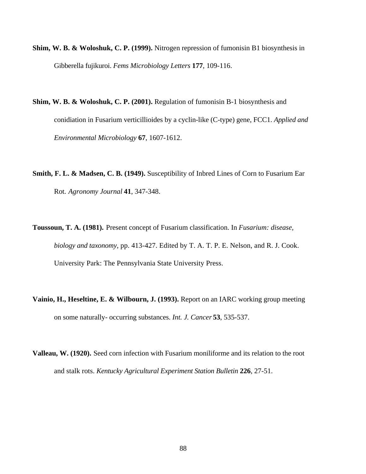- **Shim, W. B. & Woloshuk, C. P. (1999).** Nitrogen repression of fumonisin B1 biosynthesis in Gibberella fujikuroi. *Fems Microbiology Letters* **177**, 109-116.
- **Shim, W. B. & Woloshuk, C. P. (2001).** Regulation of fumonisin B-1 biosynthesis and conidiation in Fusarium verticillioides by a cyclin-like (C-type) gene, FCC1. *Applied and Environmental Microbiology* **67**, 1607-1612.
- **Smith, F. L. & Madsen, C. B. (1949).** Susceptibility of Inbred Lines of Corn to Fusarium Ear Rot. *Agronomy Journal* **41**, 347-348.
- **Toussoun, T. A. (1981).** Present concept of Fusarium classification. In *Fusarium: disease, biology and taxonomy*, pp. 413-427. Edited by T. A. T. P. E. Nelson, and R. J. Cook. University Park: The Pennsylvania State University Press.
- **Vainio, H., Heseltine, E. & Wilbourn, J. (1993).** Report on an IARC working group meeting on some naturally- occurring substances. *Int. J. Cancer* **53**, 535-537.
- **Valleau, W. (1920).** Seed corn infection with Fusarium moniliforme and its relation to the root and stalk rots. *Kentucky Agricultural Experiment Station Bulletin* **226**, 27-51.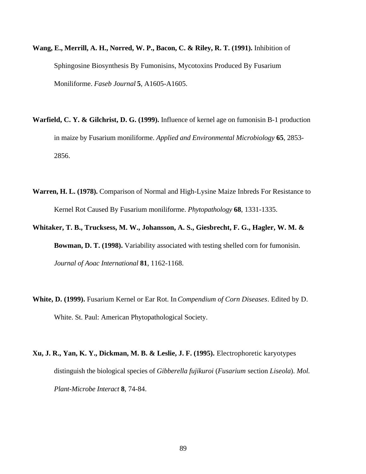- **Wang, E., Merrill, A. H., Norred, W. P., Bacon, C. & Riley, R. T. (1991).** Inhibition of Sphingosine Biosynthesis By Fumonisins, Mycotoxins Produced By Fusarium Moniliforme. *Faseb Journal* **5**, A1605-A1605.
- **Warfield, C. Y. & Gilchrist, D. G. (1999).** Influence of kernel age on fumonisin B-1 production in maize by Fusarium moniliforme. *Applied and Environmental Microbiology* **65**, 2853- 2856.
- **Warren, H. L. (1978).** Comparison of Normal and High-Lysine Maize Inbreds For Resistance to Kernel Rot Caused By Fusarium moniliforme. *Phytopathology* **68**, 1331-1335.
- **Whitaker, T. B., Trucksess, M. W., Johansson, A. S., Giesbrecht, F. G., Hagler, W. M. & Bowman, D. T. (1998).** Variability associated with testing shelled corn for fumonisin. *Journal of Aoac International* **81**, 1162-1168.
- **White, D. (1999).** Fusarium Kernel or Ear Rot. In *Compendium of Corn Diseases*. Edited by D. White. St. Paul: American Phytopathological Society.
- **Xu, J. R., Yan, K. Y., Dickman, M. B. & Leslie, J. F. (1995).** Electrophoretic karyotypes distinguish the biological species of *Gibberella fujikuroi* (*Fusarium* section *Liseola*). *Mol. Plant-Microbe Interact* **8**, 74-84.